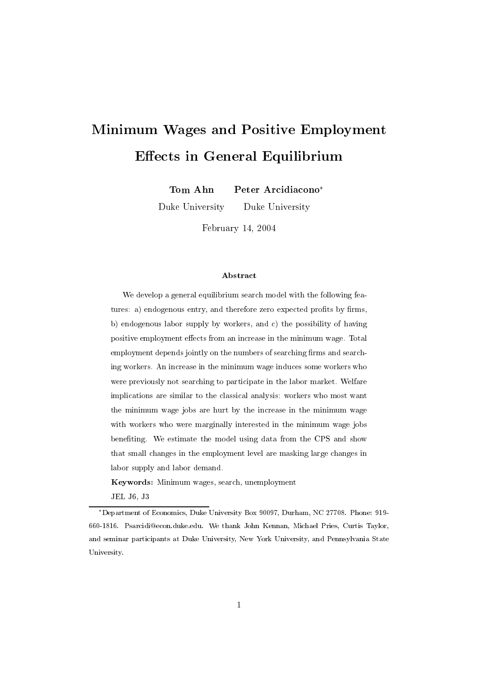# Minimum Wages and Positive Employment  $E = E \cdot E$  is a finite equilibrium extension of  $E$  . Finite equilibrium extension of  $E$

Tom Ahn Peter Arcidiacono

Duke University Duke University

February 14, <sup>2004</sup>

#### Abstract

We develop a general equilibrium search model with the following features: a) endogenous entry, and therefore zero expected profits by firms, b) endogenous labor supply by workers, and c) the possibility of having positive employment effects from an increase in the minimum wage. Total employment depends jointly on the numbers of searching firms and searching workers. An increase in the minimum wage induces some workers who were previously not searching to participate in the labor market. Welfare implications are similar to the classical analysis: workers who most want the minimum wage jobs are hurt by the increase in the minimum wage with workers who were marginally interested in the minimum wage jobs benefiting. We estimate the model using data from the CPS and show that small changes in the employment level are masking large changes in labor supply and labor demand.

Keywords: Minimum wages, search, unemployment

JEL J6, J3

Department of Economics, Duke University Box 90097, Durham, NC 27708. Phone: 919- 660-1816. Psarcidi@econ.duke.edu. We thank John Kennan, Michael Pries, Curtis Taylor, and seminar participants at Duke University, New York University, and Pennsylvania State University.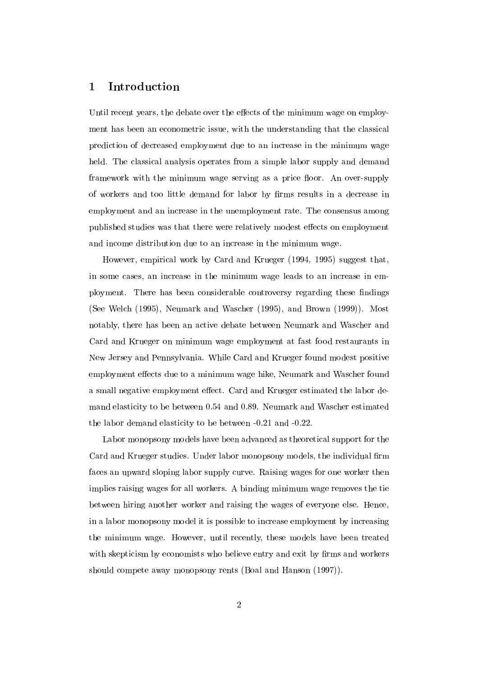#### **Introduction**  $\mathbf{1}$

Until recent years, the debate over the effects of the minimum wage on employment has been an econometric issue, with the understanding that the classical prediction of decreased employment due to an increase in the minimum wage held. The classical analysis operates from a simple labor supply and demand framework with the minimum wage serving as a price floor. An over-supply of workers and too little demand for labor by firms results in a decrease in employment and an increase in the unemployment rate. The consensus among published studies was that there were relatively modest effects on employment and income distribution due to an increase in the minimum wage.

However, empirical work by Card and Krueger (1994, 1995) suggest that, in some cases, an increase in the minimum wage leads to an increase in employment. There has been considerable controversy regarding these findings (See Welch (1995), Neumark and Wascher (1995), and Brown (1999)). Most notably, there has been an active debate between Neumark and Wascher and Card and Krueger on minimum wage employment at fast food restaurants in New Jersey and Pennsylvania. While Card and Krueger found modest positive employment effects due to a minimum wage hike, Neumark and Wascher found a small negative employment effect. Card and Krueger estimated the labor demand elasticity to be between 0.54 and 0.89. Neumark and Wascher estimated the labor demand elasticity to be between -0.21 and -0.22.

Labor monopsony models have been advanced as theoretical support for the Card and Krueger studies. Under labor monopsony models, the individual firm faces an upward sloping labor supply curve. Raising wages for one worker then implies raising wages for all workers. A binding minimum wage removes the tie between hiring another worker and raising the wages of everyone else. Hence, in a labor monopsony model it is possible to increase employment by increasing the minimum wage. However, until recently, these models have been treated with skepticism by economists who believe entry and exit by firms and workers should compete away monopsony rents (Boal and Hanson (1997)).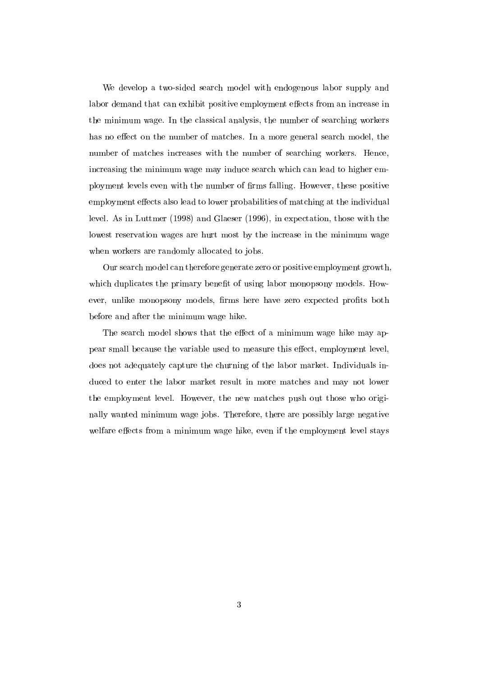We develop a two-sided search model with endogenous labor supply and labor demand that can exhibit positive employment effects from an increase in the minimum wage. In the classical analysis, the number of searching workers has no effect on the number of matches. In a more general search model, the number of matches increases with the number of searching workers. Hence, increasing the minimum wage may induce search which can lead to higher employment levels even with the number of firms falling. However, these positive employment effects also lead to lower probabilities of matching at the individual level. As in Luttmer (1998) and Glaeser (1996), in expectation, those with the lowest reservation wages are hurt most by the increase in the minimum wage when workers are randomly allocated to jobs.

Our search model can therefore generate zero or positive employment growth, which duplicates the primary benefit of using labor monopsony models. However, unlike monopsony models, firms here have zero expected profits both before and after the minimum wage hike.

The search model shows that the effect of a minimum wage hike may appear small because the variable used to measure this effect, employment level, does not adequately capture the churning of the labor market. Individuals induced to enter the labor market result in more matches and may not lower the employment level. However, the new matches push out those who originally wanted minimum wage jobs. Therefore, there are possibly large negative welfare effects from a minimum wage hike, even if the employment level stays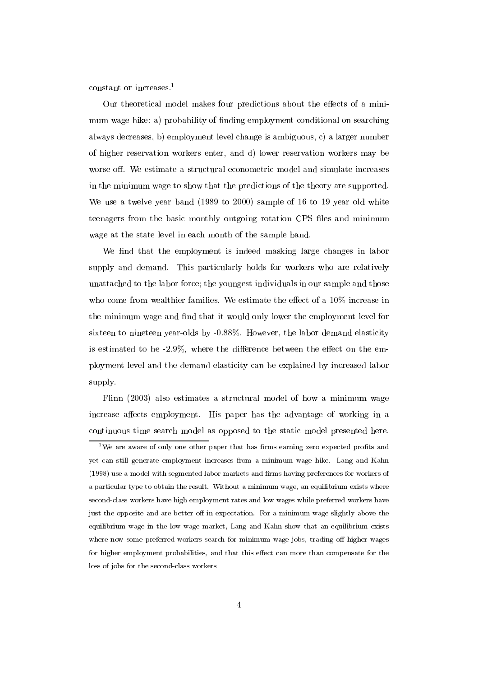constant or increases.1

Our theoretical model makes four predictions about the effects of a minimum wage hike: a) probability of finding employment conditional on searching always decreases, b) employment level change is ambiguous, c) a larger number of higher reservation workers enter, and d)lower reservation workers may be worse off. We estimate a structural econometric model and simulate increases in the minimum wage to show that the predictions of the theory are supported. We use a twelve year band (1989 to 2000) sample of 16 to 19 year old white teenagers from the basic monthly outgoing rotation CPS les and minimum wage at the state level in each month of the sample band.

We find that the employment is indeed masking large changes in labor supply and demand. This particularly holds for workers who are relatively unattached to the labor force; the youngest individuals in our sample and those who come from wealthier families. We estimate the effect of a  $10\%$  increase in the minimum wage and find that it would only lower the employment level for sixteen to nineteen year-olds by -0.88%. However, the labor demand elasticity is estimated to be  $-2.9\%$ , where the difference between the effect on the employment level and the demand elasticity can be explained by increased labor supply.

Flinn (2003) also estimates a structural model of how a minimum wage increase affects employment. His paper has the advantage of working in a continuous time search model as opposed to the static model presented here.

<sup>&</sup>lt;sup>1</sup>We are aware of only one other paper that has firms earning zero expected profits and yet can stillgenerate employment increases from a minimum wage hike. Lang and Kahn (1998) use a model with segmented labor markets and firms having preferences for workers of a particular type to obtain the result. Without a minimum wage, an equilibrium exists where second-class workers have high employment rates and low wages while preferred workers have just the opposite and are better off in expectation. For a minimum wage slightly above the equilibrium wage in the low wage market, Lang and Kahn show that an equilibrium exists where now some preferred workers search for minimum wage jobs, trading off higher wages for higher employment probabilities, and that this effect can more than compensate for the loss of jobs for the second-class workers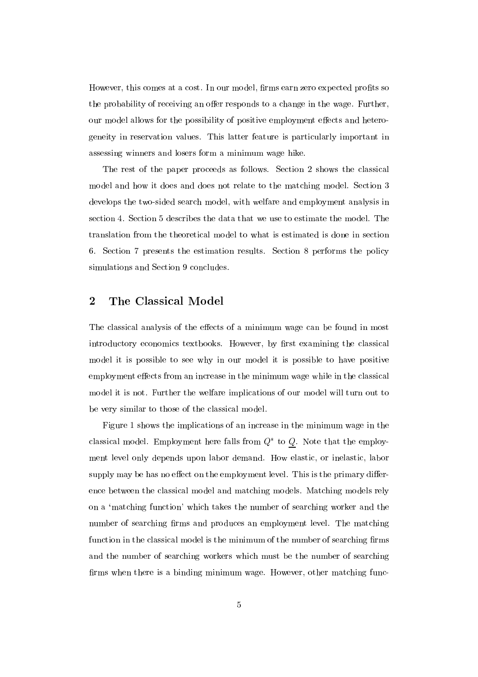However, this comes at a cost. In our model, firms earn zero expected profits so the probability of receiving an offer responds to a change in the wage. Further, our model allows for the possibility of positive employment effects and heterogeneity in reservation values. This latter feature is particularly important in assessing winners and losers form a minimum wage hike.

The rest of the paper proceeds as follows. Section 2 shows the classical model and how it does and does not relate to the matching model. Section 3 develops the two-sided search model, with welfare and employment analysis in section 4. Section 5 describes the data that we use to estimate the model. The translation from the theoretical model to what is estimated is done in section 6. Section 7 presents the estimation results. Section 8 performs the policy simulations and Section 9 concludes.

# 2 The Classical Model

The classical analysis of the effects of a minimum wage can be found in most introductory economics textbooks. However, by first examining the classical model it is possible to see why in our model it is possible to have positive employment effects from an increase in the minimum wage while in the classical model it is not. Further the welfare implications of our model will turn out to be very similar to those of the classical model.

Figure 1 shows the implications of an increase in the minimum wage in the classical model. Employment here falls from Q to Q. Note that the employment level only depends upon labor demand. How elastic, or inelastic, labor supply may be has no effect on the employment level. This is the primary difference between the classical model and matching models. Matching models rely on a 'matching function' which takes the number of searching worker and the number of searching firms and produces an employment level. The matching function in the classical model is the minimum of the number of searching firms and the number of searching workers which must be the number of searching firms when there is a binding minimum wage. However, other matching func-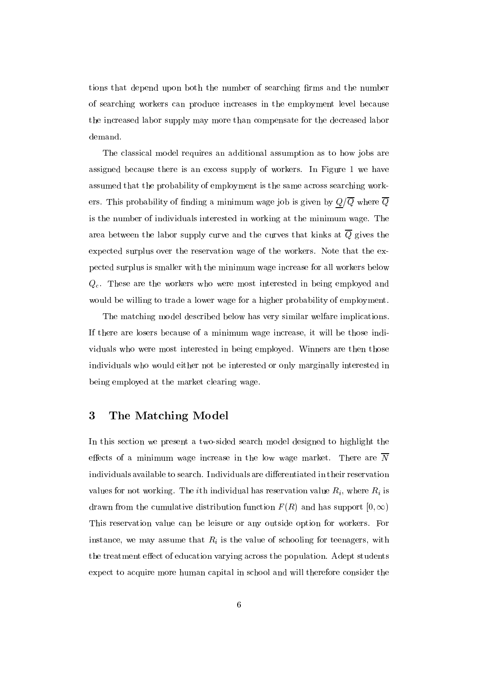tions that depend upon both the number of searching firms and the number of searching workers can produce increases in the employment level because the increased labor supply may more than compensate for the decreased labor demand.

The classical model requires an additional assumption as to how jobs are assigned because there is an excess supply of workers. In Figure 1 we have assumed that the probability of employment is the same across searching workers. This probability of finding a minimum wage job is given by  $Q/\overline{Q}$  where  $\overline{Q}$ is the number of individuals interested in working at the minimum wage. The area between the labor supply curve and the curves that kinks at  $\overline{Q}$  gives the expected surplus over the reservation wage of the workers. Note that the expected surplus is smaller with the minimum wage increase for all workers below  $Q_c$ . These are the workers who were most interested in being employed and would be willing to trade a lower wage for a higher probability of employment.

The matching model described below has very similar welfare implications. If there are losers because of a minimum wage increase, it will be those individuals who were most interested in being employed. Winners are then those individuals who would either not be interested or only marginally interested in being employed at the market clearing wage.

# 3 The Matching Model

In this section we present a two-sided search model designed to highlight the effects of a minimum wage increase in the low wage market. There are  $\overline{N}$ individuals available to search. Individuals are differentiated in their reservation values for not working. The *i*th individual has reservation value  $R_i$ , where  $R_i$  is drawn from the cumulative distribution function  $F(R)$  and has support  $[0,\infty)$ This reservation value can be leisure or any outside option for workers. For instance, we may assume that  $R_i$  is the value of schooling for teenagers, with the treatment effect of education varying across the population. Adept students expect to acquire more human capital in school and will therefore consider the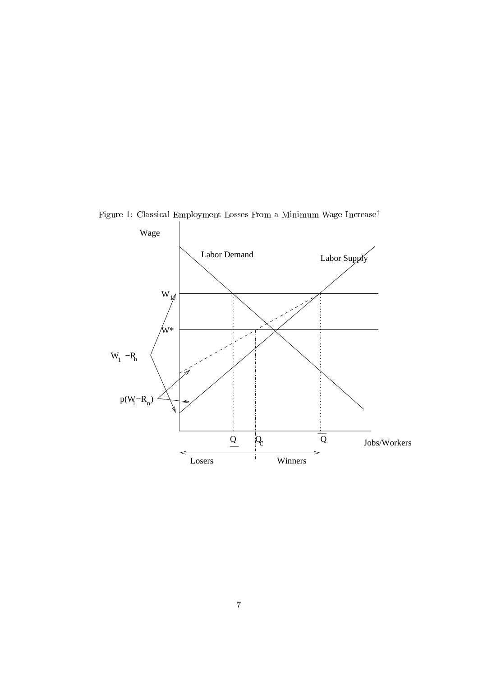

Figure 1: Classical Employment Losses From a Minimum Wage Increase<sup>†</sup>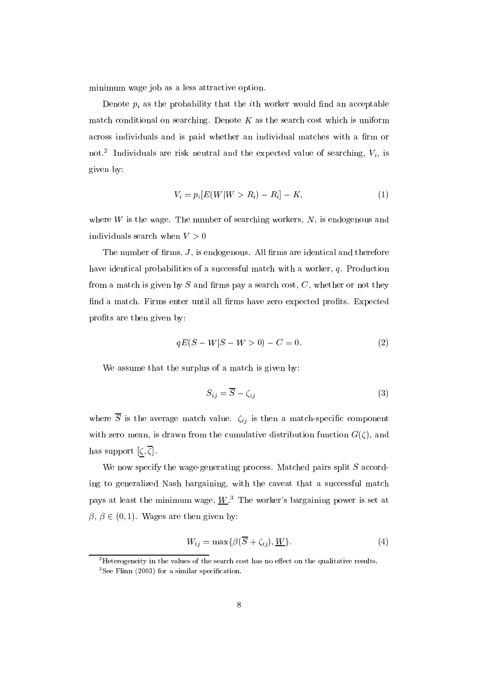minimum wage job as a less attractive option.

Denote  $p_i$  as the probability that the *i*th worker would find an acceptable match conditional on searching. Denote  $K$  as the search cost which is uniform across individuals and is paid whether an individual matches with a firm or not. Individuals are risk neutral and the expected value of searching,  $v_i$ , is given by:

$$
V_i = p_i[E(W|W > R_i) - R_i] - K, \tag{1}
$$

where  $W$  is the wage. The number of searching workers,  $N$ , is endogenous and individuals search when  $V > 0$ 

The number of firms,  $J$ , is endogenous. All firms are identical and therefore have identical probabilities of a successful match with a worker, q. Production from a match is given by  $S$  and firms pay a search cost,  $C$ , whether or not they find a match. Firms enter until all firms have zero expected profits. Expected profits are then given by:

$$
qE(S - W|S - W > 0) - C = 0.
$$
\n(2)

We assume that the surplus of a match is given by:

$$
S_{ij} = \overline{S} - \zeta_{ij} \tag{3}
$$

where  $\overline{S}$  is the average match value.  $\zeta_{ij}$  is then a match-specific component with zero mean, is drawn from the cumulative distribution function  $G(\zeta)$ , and has support  $\left[\zeta,\overline{\zeta}\right]$ .

We now specify the wage-generating process. Matched pairs split  $S$  according to generalized Nash bargaining, with the caveat that a successful match pays at least the minimum wage,  $W<sup>3</sup>$ . The worker's bargaining power is set at  $\mathbf{r}$  ,  $\mathbf{r}$  ,  $\mathbf{r}$  ,  $\mathbf{r}$ ,  $\mathbf{r}$ ,  $\mathbf{r}$ ,  $\mathbf{r}$ ,  $\mathbf{r}$ ,  $\mathbf{r}$ ,  $\mathbf{r}$ ,  $\mathbf{r}$ ,  $\mathbf{r}$ ,  $\mathbf{r}$ ,  $\mathbf{r}$ ,  $\mathbf{r}$ ,  $\mathbf{r}$ ,  $\mathbf{r}$ ,  $\mathbf{r}$ ,  $\mathbf{r}$ ,  $\mathbf{r}$ ,  $\mathbf{r}$ ,  $\mathbf{r}$ 

$$
W_{ij} = \max\{\beta(\overline{S} + \zeta_{ij}), \underline{W}\}.
$$
\n(4)

<sup>&</sup>lt;sup>2</sup>Heterogeneity in the values of the search cost has no effect on the qualitative results.  ${}^{3}$ See Flinn (2003) for a similar specification.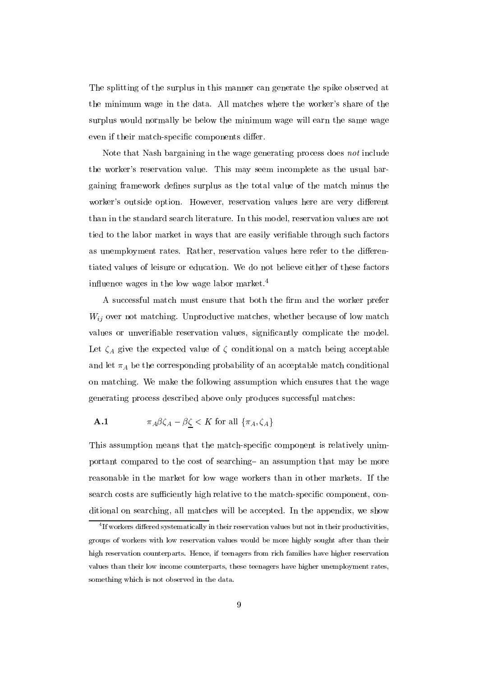The splitting of the surplus in this manner can generate the spike observed at the minimum wage in the data. All matches where the worker's share of the surplus would normally be below the minimum wage will earn the same wage even if their match-specific components differ.

Note that Nash bargaining in the wage generating process does not include the worker's reservation value. This may seem incomplete as the usual bargaining framework defines surplus as the total value of the match minus the worker's outside option. However, reservation values here are very different than in the standard search literature. In this model, reservation values are not tied to the labor market in ways that are easily veriable through such factors as unemployment rates. Rather, reservation values here refer to the differentiated values of leisure or education. We do not believe either of these factors influence wages in the low wage labor market.<sup>4</sup>

A successful match must ensure that both the firm and the worker prefer  $W_{ij}$  over not matching. Unproductive matches, whether because of low match values or unveriable reservation values, signicantly complicate the model. Let  $\zeta_A$  give the expected value of  $\zeta$  conditional on a match being acceptable and let  $\pi_A$  be the corresponding probability of an acceptable match conditional on matching. We make the following assumption which ensures that the wage generating process described above only produces successful matches:

**A.1** 
$$
\pi_A \beta \zeta_A - \beta \zeta < K \text{ for all } \{\pi_A, \zeta_A\}
$$

This assumption means that the match-specic component is relatively unimportant compared to the cost of searching an assumption that may be more reasonable in the market for low wage workers than in other markets. If the search costs are sufficiently high relative to the match-specific component, conditional on searching, all matches will be accepted. In the appendix, we show

Th workers differed systematically in their reservation values but not in their productivities, the f groups of workers with low reservation values would be more highly sought after than their high reservation counterparts. Hence, if teenagers from rich families have higher reservation values than their low income counterparts, these teenagers have higher unemployment rates, something which is not observed in the data.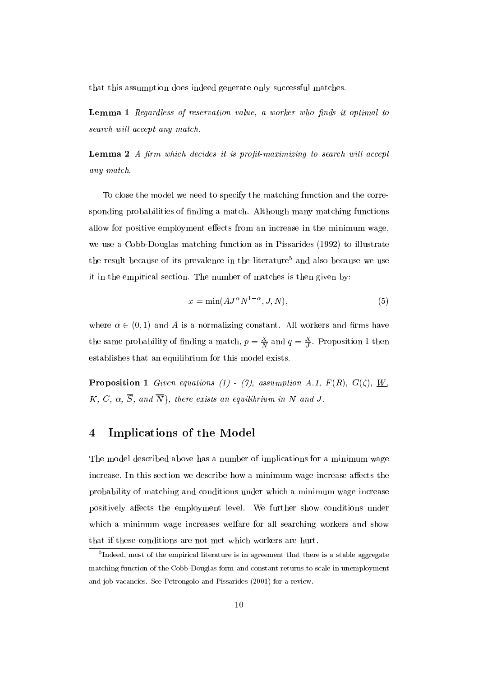that this assumption does indeed generate only successful matches.

Lemma 1 Regardless of reservation value, a worker who finds it optimal to search will accept any match.

**Lemma 2**  $\Lambda$  firm which decides it is profit-maximizing to search will accept any match.

To close the model we need to specify the matching function and the corresponding probabilities of finding a match. Although many matching functions allow for positive employment effects from an increase in the minimum wage, we use a Cobb-Douglas matching function as in Pissarides (1992) to illustrate the result because of its prevalence in the literature<sup>5</sup> and also because we use it in the empirical section. The number of matches is then given by:

$$
x = \min(A J^{\alpha} N^{1-\alpha}, J, N), \tag{5}
$$

where  $2$  (1) and A is anothere and A is anothere and A is anothere and  $\mathcal{M}$ the same probability of finding a match,  $p = \frac{1}{N}$  and  $q = \frac{1}{J}$ . Proposition 1 then establishes that an equilibrium for this model exists.

**Proposition 1** Given equations (1) - (7), assumption A.1,  $F(R)$ ,  $G(\zeta)$ ,  $\underline{W}$ ,  $K, C, \alpha, \overline{S}, \text{ and } \overline{N}$ , there exists an equilibrium in N and J.

# 4 Implications of the Model

The model described above has a number of implications for a minimum wage increase. In this section we describe how a minimum wage increase affects the probability of matching and conditions under which a minimum wage increase positively affects the employment level. We further show conditions under which a minimum wage increases welfare for all searching workers and show that if these conditions are not met which workers are hurt.

<sup>5</sup> Indeed, most of the empirical literature is in agreement that there is a stable aggregate matching function of the Cobb-Douglas form and constant returns to scale in unemployment and job vacancies. See Petrongolo and Pissarides (2001) for a review.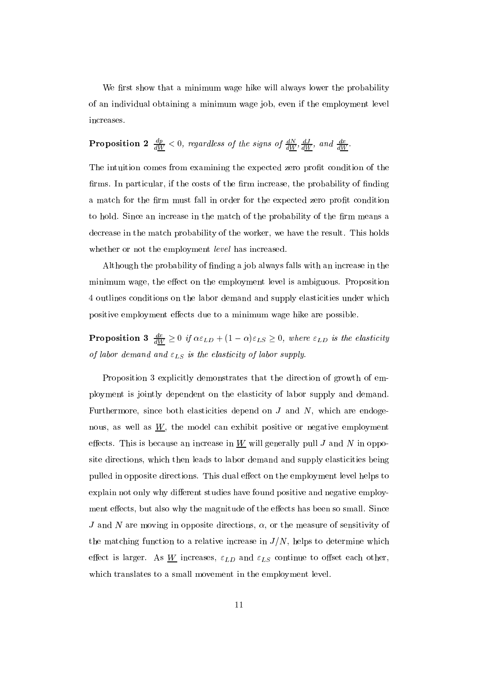We first show that a minimum wage hike will always lower the probability of an individual obtaining a minimum wage job, even if the employment level increases.

# **Proposition 2**  $\frac{1}{dW} < 0$ , regardless of the signs of  $\frac{1}{dW}$ ,  $\frac{1}{dW}$ , and  $\frac{1}{dW}$ .

The intuition comes from examining the expected zero profit condition of the firms. In particular, if the costs of the firm increase, the probability of finding a match for the firm must fall in order for the expected zero profit condition to hold. Since an increase in the match of the probability of the firm means a decrease in the match probability of the worker, we have the result. This holds whether or not the employment *level* has increased.

Although the probability of nding a job always falls with an increase in the minimum wage, the effect on the employment level is ambiguous. Proposition 4 outlines conditions on the labor demand and supply elasticities under which positive employment effects due to a minimum wage hike are possible.

**Proposition 3**  $\frac{dW}{dW} \geq 0$  if  $\alpha \varepsilon_{LD} + (1 - \alpha)\varepsilon_{LS} \geq 0$ , where  $\varepsilon_{LD}$  is the elasticity of labor demand and  $\varepsilon_{LS}$  is the elasticity of labor supply.

Proposition 3 explicitly demonstrates that the direction of growth of employment is jointly dependent on the elasticity of labor supply and demand. Furthermore, since both elasticities depend on  $J$  and  $N$ , which are endogenous, as well as  $W$ , the model can exhibit positive or negative employment effects. This is because an increase in  $W$  will generally pull J and N in opposite directions, which then leads to labor demand and supply elasticities being pulled in opposite directions. This dual effect on the employment level helps to explain not only why different studies have found positive and negative employment effects, but also why the magnitude of the effects has been so small. Since J and N are moving in opposite directions,  $\alpha$ , or the measure of sensitivity of the matching function to a relative increase in  $J/N$ , helps to determine which effect is larger. As W increases,  $\varepsilon_{LD}$  and  $\varepsilon_{LS}$  continue to offset each other, which translates to a small movement in the employment level.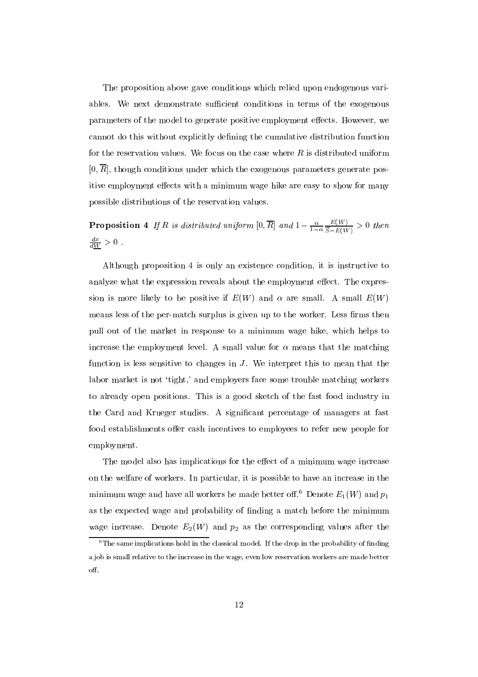The proposition above gave conditions which relied upon endogenous variables. We next demonstrate sufficient conditions in terms of the exogenous parameters of the model to generate positive employment effects. However, we cannot do this without explicitly defining the cumulative distribution function for the reservation values. We focus on the case where  $R$  is distributed uniform  $[0, \overline{R}]$ , though conditions under which the exogenous parameters generate positive employment effects with a minimum wage hike are easy to show for many possible distributions of the reservation values.

**Proposition 4** If R is distributed uniform  $[0, R]$  and  $1 - \frac{a}{1 - \alpha} \frac{1}{\overline{S} - E(W)} > 0$  then  $\frac{dW}{dW} > 0$ .

Although proposition 4 is only an existence condition, it is instructive to analyze what the expression reveals about the employment effect. The expression is more likely to be positive if  $E(W)$  and  $\alpha$  are small. A small  $E(W)$ means less of the per-match surplus is given up to the worker. Less firms then pull out of the market in response to a minimum wage hike, which helps to increase the employment level. A small value for  $\alpha$  means that the matching function is less sensitive to changes in  $J$ . We interpret this to mean that the labor market is not 'tight,' and employers face some trouble matching workers to already open positions. This is a good sketch of the fast food industry in the Card and Krueger studies. A signicant percentage of managers at fast food establishments offer cash incentives to employees to refer new people for employment.

The model also has implications for the effect of a minimum wage increase on the welfare of workers. In particular, it is possible to have an increase in the minimum wage and have all workers be made better of  $f_0$ <sup>6</sup>. Denote  $E_1(W)$  and  $p_1$ as the expected wage and probability of nding a match before the minimum wage increase. Denote  $E_2(W)$  and  $p_2$  as the corresponding values after the

 $6$ The same implications hold in the classical model. If the drop in the probability of finding a job is small relative to the increase in the wage, even low reservation workers are made better off.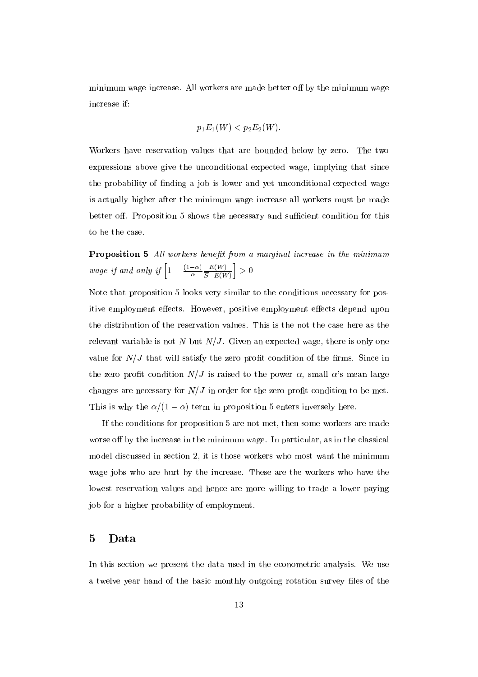minimum wage increase. All workers are made better off by the minimum wage increase if:

$$
p_1E_1(W)
$$

Workers have reservation values that are bounded below by zero. The two expressions above give the unconditional expected wage, implying that since the probability of finding a job is lower and yet unconditional expected wage is actually higher after the minimum wage increase all workers must be made better off. Proposition 5 shows the necessary and sufficient condition for this to be the case.

**Proposition 5** All workers benefit from a marginal increase in the minimum wage if and only if  $\left[1 - \frac{(1-\alpha)}{\alpha} \frac{E(W)}{\overline{S} - E(W)}\right] > 0$ 

Note that proposition 5 looks very similar to the conditions necessary for positive employment effects. However, positive employment effects depend upon the distribution of the reservation values. This is the not the case here as the relevant variable is not N but  $N/J$ . Given an expected wage, there is only one value for  $N/J$  that will satisfy the zero profit condition of the firms. Since in the zero profit condition  $N/J$  is raised to the power  $\alpha$ , small  $\alpha$ 's mean large changes are necessary for  $N/J$  in order for the zero profit condition to be met. This is why the  $\alpha/(1 - \alpha)$  term in proposition 5 enters inversely here.

If the conditions for proposition 5 are not met, then some workers are made worse off by the increase in the minimum wage. In particular, as in the classical model discussed in section 2, it is those workers who most want the minimum wage jobs who are hurt by the increase. These are the workers who have the lowest reservation values and hence are more willing to trade a lower paying job for a higher probability of employment.

### 5 Data

In this section we present the data used in the econometric analysis. We use a twelve year band of the basic monthly outgoing rotation survey files of the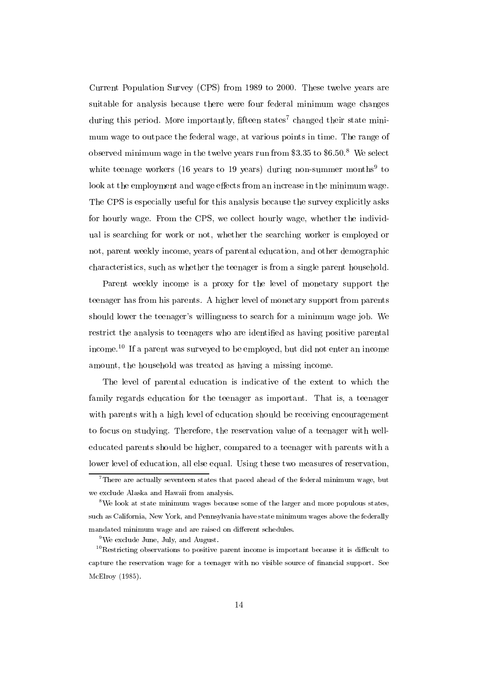Current Population Survey (CPS) from 1989 to 2000. These twelve years are suitable for analysis because there were four federal minimum wage changes during this period. More importantly, fifteen states<sup>7</sup> changed their state minimum wage to outpace the federal wage, at various points in time. The range of observed minimum wage in the twelve years run from \$3.35 to  $$6.50$ .<sup>8</sup> We select white teenage workers (10 years to 19 years) during non-summer months to look at the employment and wage effects from an increase in the minimum wage. The CPS is especially useful for this analysis because the survey explicitly asks for hourly wage. From the CPS, we collect hourly wage, whether the individual is searching for work or not, whether the searching worker is employed or not, parent weekly income, years of parental education, and other demographic characteristics, such as whether the teenager is from a single parent household.

Parent weekly income is a proxy for the level of monetary support the teenager has from his parents. A higher level of monetary support from parents should lower the teenager's willingness to search for a minimum wage job. We restrict the analysis to teenagers who are identified as having positive parental income.10 If a parent was surveyed to be employed, but did not enter an income amount, the household was treated as having a missing income.

The level of parental education is indicative of the extent to which the family regards education for the teenager as important. That is, a teenager with parents with a high level of education should be receiving encouragement to focus on studying. Therefore, the reservation value of a teenager with welleducated parents should be higher, compared to a teenager with parents with a lower level of education, all else equal. Using these two measures of reservation,

 $7$ There are actually seventeen states that paced ahead of the federal minimum wage, but we exclude Alaska and Hawaii from analysis.

<sup>8</sup>We look at state minimum wages because some of the larger and more populous states, such as California, New York, and Pennsylvania have state minimum wages above the federally mandated minimum wage and are raised on different schedules.

 $9^9$ We exclude June, July, and August.

 $10$ Restricting observations to positive parent income is important because it is difficult to capture the reservation wage for a teenager with no visible source of nancial support. See McElroy (1985).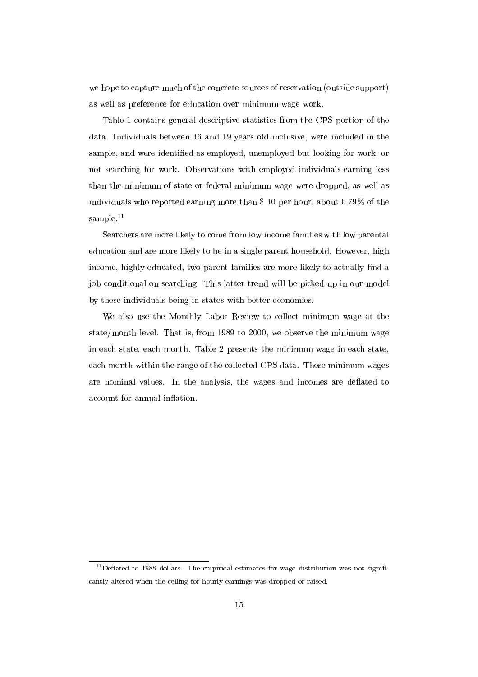we hope to capture much of the concrete sources of reservation (outside support) as well as preference for education over minimum wage work.

Table 1 contains general descriptive statistics from the CPS portion of the data. Individuals between 16 and 19 years old inclusive, were included in the sample, and were identied as employed, unemployed but looking for work, or not searching for work. Observations with employed individuals earning less than the minimum of state or federal minimum wage were dropped, as well as individuals who reported earning more than \$ 10 per hour, about 0.79% of the sample. $11$ 

Searchers are more likely to come from low income families with low parental education and are more likely to be in a single parent household. However, high income, highly educated, two parent families are more likely to actually find a job conditional on searching. This latter trend will be picked up in our model by these individuals being in states with better economies.

We also use the Monthly Labor Review to collect minimum wage at the state/month level. That is, from 1989 to 2000, we observe the minimum wage in each state, each month. Table 2 presents the minimum wage in each state, each month within the range of the collected CPS data. These minimum wages are nominal values. In the analysis, the wages and incomes are deflated to account for annual inflation.

 $11$  Deflated to 1988 dollars. The empirical estimates for wage distribution was not significantly altered when the ceiling for hourly earnings was dropped or raised.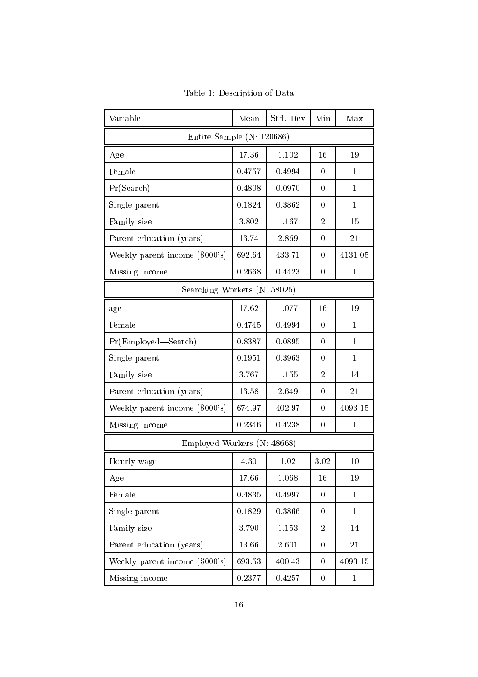| Variable                         | Mean   | Std. Dev | Min              | Max          |  |  |
|----------------------------------|--------|----------|------------------|--------------|--|--|
| Entire Sample (N: $120686$ )     |        |          |                  |              |  |  |
| Age                              | 17.36  | 1.102    | 16               | 19           |  |  |
| Female                           | 0.4757 | 0.4994   | $\theta$         | $\mathbf{1}$ |  |  |
| Pr(Search)                       | 0.4808 | 0.0970   | $\overline{0}$   | $\mathbf{1}$ |  |  |
| Single parent                    | 0.1824 | 0.3862   | $\overline{0}$   | $\mathbf{1}$ |  |  |
| Family size                      | 3.802  | 1.167    | $\overline{2}$   | 15           |  |  |
| Parent education (years)         | 13.74  | 2.869    | $\overline{0}$   | 21           |  |  |
| Weekly parent income $(\$000's)$ | 692.64 | 433.71   | $\overline{0}$   | 4131.05      |  |  |
| Missing income                   | 0.2668 | 0.4423   | $\overline{0}$   | $\mathbf 1$  |  |  |
| Searching Workers (N: 58025)     |        |          |                  |              |  |  |
| age                              | 17.62  | 1.077    | 16               | 19           |  |  |
| Female                           | 0.4745 | 0.4994   | $\overline{0}$   | $\mathbf{1}$ |  |  |
| Pr(Employd—Search)               | 0.8387 | 0.0895   | $\Omega$         | $\mathbf{1}$ |  |  |
| Single parent                    | 0.1951 | 0.3963   | $\overline{0}$   | $\mathbf{1}$ |  |  |
| Family size                      | 3.767  | 1.155    | $\overline{2}$   | 14           |  |  |
| Parent education (years)         | 13.58  | 2.649    | $\overline{0}$   | 21           |  |  |
| Weekly parent income $(\$000's)$ | 674.97 | 402.97   | $\overline{0}$   | 4093.15      |  |  |
| Missing income                   | 0.2346 | 0.4238   | $\overline{0}$   | $\mathbf 1$  |  |  |
| Employed Workers (N: 48668)      |        |          |                  |              |  |  |
| Hourly wage                      | 4.30   | 1.02     | 3.02             | 10           |  |  |
| Age                              | 17.66  | 1.068    | 16               | 19           |  |  |
| Female                           | 0.4835 | 0.4997   | $\overline{0}$   | $\mathbf{1}$ |  |  |
| Single parent                    | 0.1829 | 0.3866   | $\boldsymbol{0}$ | $\mathbf{1}$ |  |  |
| Family size                      | 3.790  | 1.153    | $\overline{2}$   | 14           |  |  |
| Parent education (years)         | 13.66  | 2.601    | $\boldsymbol{0}$ | 21           |  |  |
| Weekly parent income $(\$000's)$ | 693.53 | 400.43   | $\boldsymbol{0}$ | 4093.15      |  |  |
| Missing income                   | 0.2377 | 0.4257   | $\overline{0}$   | $\mathbf{1}$ |  |  |

Table 1: Description of Data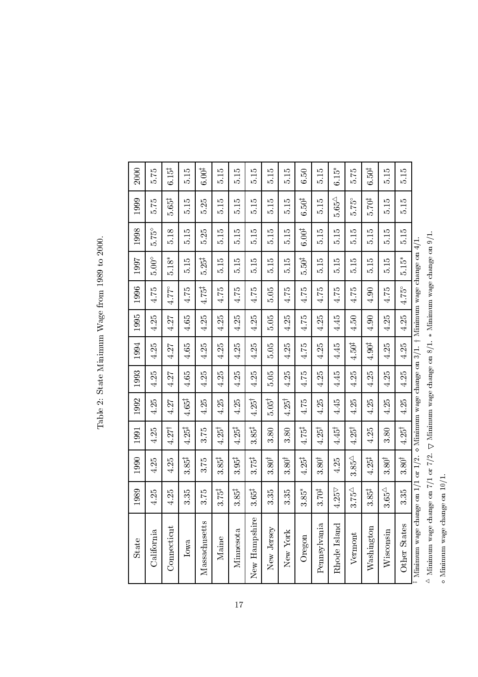| $\frac{2000}{2000}$    |  |
|------------------------|--|
| 1989 to                |  |
| $N$ age from 1         |  |
|                        |  |
| Table 2: State Minimum |  |
|                        |  |
|                        |  |
|                        |  |

| <b>State</b>                            | 1989                                                                                            | 1990               | 1991                                                                 | 1992              | 1993   | 1994              | 1995   | 1996              | 1997              | 1998              | 1999               | 2000              |
|-----------------------------------------|-------------------------------------------------------------------------------------------------|--------------------|----------------------------------------------------------------------|-------------------|--------|-------------------|--------|-------------------|-------------------|-------------------|--------------------|-------------------|
| California                              | 4.25                                                                                            | 4.25               | 4.25                                                                 | 4.25              | 4.25   | 4.25              | 4.25   | 4.75              | $5.00^\circ$      | $5.75^{\circ}$    | 5.75               | 575               |
| Connecticut                             | 4.25                                                                                            | 4.25               | $4.27^{\dagger}$                                                     | 4.27              | 4.27   | 4.27              | 4.27   | $4.77^{\circ}$    | $5.18*$           | 5.18              | $5.65^{\ddagger}$  | $6.15^{\ddagger}$ |
| Iowa                                    | 3.35                                                                                            | $3.85^{\ddagger}$  | $4.25^{\ddagger}$                                                    | $4.65^{\ddagger}$ | 4.65   | 4.65              | $4.65$ | 4.75              | 5.15              | 5.15              | 5.15               | 5.15              |
| Massachusetts                           | 3.75                                                                                            | 3.75               | 3.75                                                                 | 4.25              | 4.25   | 4.25              | 4.25   | $4.75^{\ddagger}$ | $5.25^{\ddagger}$ | 5.25              | 5.25               | $6.00^{\ddagger}$ |
| Maine                                   | $3.75^{\ddagger}$                                                                               | $3.85^{\ddagger}$  | $4.25^{\dagger}$                                                     | 4.25              | 4.25   | 4.25              | 4.25   | 4.75              | 5.15              | 5.15              | 5.15               | $\frac{515}{5}$   |
| Minnesota                               | $3.85^{\ddagger}$                                                                               | $3.95^{\ddagger}$  | $4.25^{\ddagger}$                                                    | 4.25              | 4.25   | 4.25              | 4.25   | 4.75              | 5.15              | 5.15              | 5.15               | 5.15              |
| New Hampshire                           | $3.65^{\ddagger}$                                                                               | $3.75^{\ddagger}$  | $3.85^{\ddagger}$                                                    | $4.25^\dagger$    | 4.25   | 4.25              | 4.25   | 4.75              | 5.15              | $\frac{5}{15}$    | 5.15               | 5.15              |
| New Jersey                              | 3.35                                                                                            | 3.80 <sup>†</sup>  | 3.80                                                                 | $5.05^{\dagger}$  | 5.05   | 5.05              | 5.05   | 5.05              | 5.15              | $\frac{5}{15}$    | 5.15               | 5.15              |
| New York                                | 3.35                                                                                            | 3.80 <sup>†</sup>  | 3.80                                                                 | $4.25^{\dagger}$  | 4.25   | 4.25              | 4.25   | 4.75              | 5.15              | 5.15              | 5.15               | 5.15              |
| Oregon                                  | $3.85*$                                                                                         | $4.25^\ddagger$    | 4.75‡                                                                | 4.75              | 4.75   | 4.75              | 4.75   | 4.75              | $5.50^{\ddagger}$ | $6.00^{\ddagger}$ | $6.50^{\ddagger}$  | 6.50              |
| Pennsylvania                            | $3.70^{\ddagger}$                                                                               | 3.80 <sup>†</sup>  | $4.25^{\dagger}$                                                     | 4.25              | $4.25$ | 4.25              | 4.25   | 4.75              | 5.15              | 5.15              | 5.15               | 5.15              |
| Rhode Island                            | $4.25\, \triangledown$                                                                          | 4.25               | $4.45^{\dagger}$                                                     | 4.45              | 4.45   | 4.45              | 4.45   | 4.75              | 5.15              | $\frac{515}{2}$   | $5.65^{\triangle}$ | $6.15*$           |
| Vermont                                 | $3.75^{\triangle}$                                                                              | $3.85^{\triangle}$ | $4.25^{\dagger}$                                                     | 4.25              | 4.25   | $4.50^{\ddagger}$ | 4.50   | 4.75              | 5.15              | 5.15              | 5.75°              | 575               |
| Washington                              | $3.85^{\ddagger}$                                                                               | $4.25^\ddagger$    | 4.25                                                                 | 4.25              | 4.25   | $4.90^{\ddagger}$ | 4.90   | 4.90              | 5.15              | 5.15              | $5.70^{\ddagger}$  | 6.50 <sup>‡</sup> |
| Wisconsin                               | $3.65\triangle$                                                                                 | $3.80^\dagger$     | 3.80                                                                 | 4.25              | 4.25   | 4.25              | 4.25   | 4.75              | $\frac{5}{10}$    | 5.15              | 5.15               | 5.15              |
| Other States                            | 3.35                                                                                            | $3.80^\dagger$     | $4.25^\dagger$                                                       | 4.25              | 4.25   | 4.25              | 4.25   | $4.75^{\circ}$    | $5.15*$           | 5.15              | 5.15               | 5.15              |
| Minimum wage change on $1/1$ or $1/2$ . |                                                                                                 |                    | $\diamond$ Minimum wage change on 3/1. † Minimum wage change on 4/1. |                   |        |                   |        |                   |                   |                   |                    |                   |
| $^\Delta$ Minimum wage ch               | ange on $7/1$ or $7/2$ . $\nabla$ Minimum wage change on $8/1. *$ Minimum wage change on $9/1.$ |                    |                                                                      |                   |        |                   |        |                   |                   |                   |                    |                   |
| o Minimum wage change on 10/1           |                                                                                                 |                    |                                                                      |                   |        |                   |        |                   |                   |                   |                    |                   |

 $^\Delta$ Minimum wage change on 7/1 or 7/2.  $\nabla$  Minimum wage change on 8/1.  $\ast$  Minimum wage change on 9/1.  $^{\triangle}$  Minimum wage change on 7/1 or 7/2.  $\nabla$  Minimum wage change on 8/1.  $*$  Minimum wage change on 9/1.<br>o Minimum wage change on 10/1. o Minimum wage change on 10/1.  $\label{eq:10}$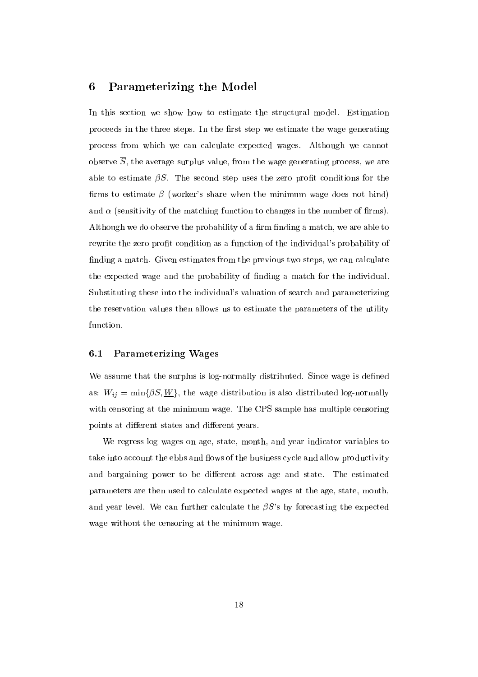#### Parameterizing the Model 6

In this section we show how to estimate the structural model. Estimation proceeds in the three steps. In the first step we estimate the wage generating process from which we can calculate expected wages. Although we cannot observe  $\overline{S}$ , the average surplus value, from the wage generating process, we are able to estimate  $\beta S$ . The second step uses the zero profit conditions for the firms to estimate  $\beta$  (worker's share when the minimum wage does not bind) and  $\alpha$  (sensitivity of the matching function to changes in the number of firms). Although we do observe the probability of a firm finding a match, we are able to rewrite the zero profit condition as a function of the individual's probability of finding a match. Given estimates from the previous two steps, we can calculate the expected wage and the probability of finding a match for the individual. Substituting these into the individual's valuation of search and parameterizing the reservation values then allows us to estimate the parameters of the utility function.

### 6.1 Parameterizing Wages

We assume that the surplus is log-normally distributed. Since wage is defined as:  $W_{ij} = \min\{\beta S, \underline{W}\}\$ , the wage distribution is also distributed log-normally with censoring at the minimum wage. The CPS sample has multiple censoring points at different states and different years.

We regress log wages on age, state, month, and year indicator variables to take into account the ebbs and flows of the business cycle and allow productivity and bargaining power to be different across age and state. The estimated parameters are then used to calculate expected wages at the age, state, month, and year level. We can further calculate the  $\beta S$ 's by forecasting the expected wage without the censoring at the minimum wage.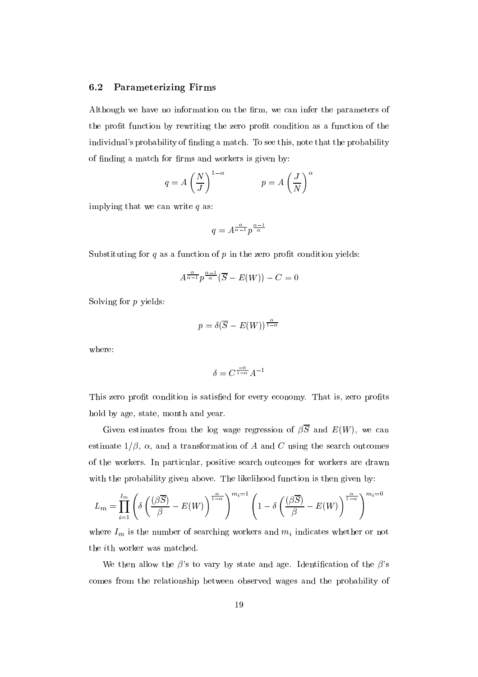#### 6.2 Parameterizing Firms

Although we have no information on the firm, we can infer the parameters of the prot function by rewriting the zero prot condition as a function of the individual's probability of finding a match. To see this, note that the probability of finding a match for firms and workers is given by:

$$
q = A \left(\frac{N}{J}\right)^{1-\alpha} \qquad p = A \left(\frac{J}{N}\right)^{\alpha}
$$

implying that we can write  $q$  as:

$$
q = A^{\frac{\alpha}{\alpha-1}} p^{\frac{\alpha-1}{\alpha}}
$$

Substituting for  $q$  as a function of  $p$  in the zero profit condition yields:

$$
A^{\frac{\alpha}{\alpha-1}}p^{\frac{\alpha-1}{\alpha}}(\overline{S}-E(W))-C=0
$$

Solving for p yields:

$$
p=\delta(\overline{S}-E(W))^{\frac{\alpha}{1-\alpha}}
$$

where:

$$
\delta = C^{\frac{-\alpha}{1-\alpha}} A^{-1}
$$

This zero profit condition is satisfied for every economy. That is, zero profits hold by age, state, month and year.

Given estimates from the log wage regression of  $\beta \overline{S}$  and  $E(W)$ , we can estimate  $1/\beta$ ,  $\alpha$ , and a transformation of A and C using the search outcomes of the workers. In particular, positive search outcomes for workers are drawn with the probability given above. The likelihood function is then given by:

$$
L_m = \prod_{i=1}^{I_m} \left( \delta \left( \frac{(\beta \overline{S})}{\beta} - E(W) \right)^{\frac{\alpha}{1-\alpha}} \right)^{m_i = 1} \left( 1 - \delta \left( \frac{(\beta \overline{S})}{\beta} - E(W) \right)^{\frac{\alpha}{1-\alpha}} \right)^{m_i = 0}
$$

where  $I_m$  is the number of searching workers and  $m_i$  indicates whether or not the ith worker was matched.

We then allow the  $\beta$ 's to vary by state and age. Identification of the  $\beta$ 's comes from the relationship between observed wages and the probability of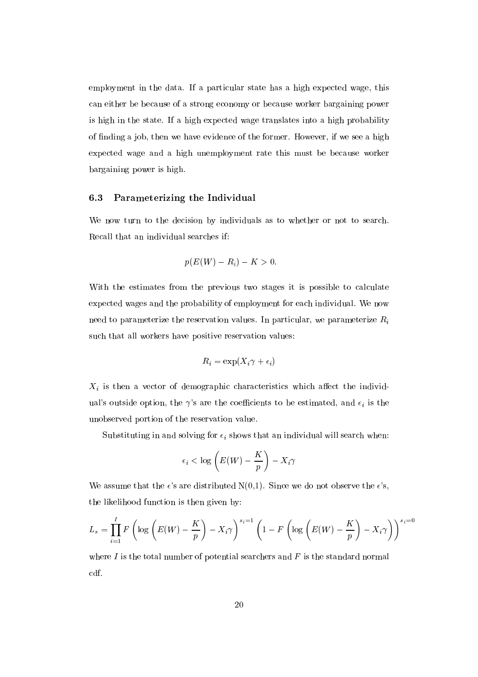employment in the data. If a particular state has a high expected wage, this can either be because of a strong economy or because worker bargaining power is high in the state. If a high expected wage translates into a high probability of nding a job, then we have evidence of the former. However, if we see a high expected wage and a high unemployment rate this must be because worker bargaining power is high.

#### 6.3 Parameterizing the Individual

We now turn to the decision by individuals as to whether or not to search. Recall that an individual searches if:

$$
p(E(W) - R_i) - K > 0.
$$

With the estimates from the previous two stages it is possible to calculate expected wages and the probability of employment for each individual. We now need to parameterize the reservation values. In particular, we parameterize  $R_i$ such that all workers have positive reservation values:

$$
R_i = \exp(X_i \gamma + \epsilon_i)
$$

 $X_i$  is then a vector of demographic characteristics which affect the individual's outside option, the  $\gamma$ 's are the coefficients to be estimated, and  $\epsilon_i$  is the unobserved portion of the reservation value.

Substituting in and solving for  $\epsilon_i$  shows that an individual will search when:

$$
\epsilon_i < \log\left(E(W) - \frac{K}{p}\right) - X_i \gamma
$$

We assume that the  $\epsilon$ 's are distributed N(0,1). Since we do not observe the  $\epsilon$ 's, the likelihood function is then given by:

$$
L_s = \prod_{i=1}^{I} F\left(\log\left(E(W) - \frac{K}{p}\right) - X_i\gamma\right)^{s_i=1} \left(1 - F\left(\log\left(E(W) - \frac{K}{p}\right) - X_i\gamma\right)\right)^{s_i=0}
$$

where  $I$  is the total number of potential searchers and  $F$  is the standard normal cdf.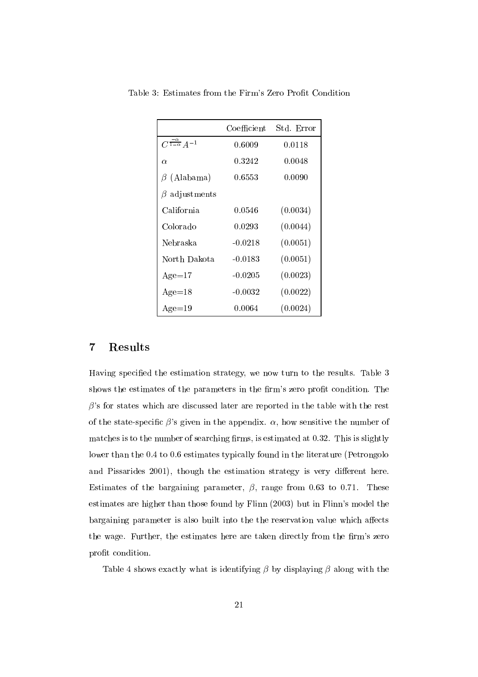|                                      | $\operatorname{Coefficient}$ | Std. Error |
|--------------------------------------|------------------------------|------------|
| $C^{\frac{-\alpha}{1-\alpha}}A^{-1}$ | 0.6009                       | 0.0118     |
| $\alpha$                             | 0.3242                       | 0.0048     |
| $\beta$ (Alabama)                    | 0.6553                       | 0.0090     |
| $\beta$ adjustments                  |                              |            |
| California                           | 0.0546                       | (0.0034)   |
| Colorado                             | 0.0293                       | (0.0044)   |
| Nebraska                             | $-0.0218$                    | (0.0051)   |
| North Dakota                         | $-0.0183$                    | (0.0051)   |
| $Age=17$                             | $-0.0205$                    | (0.0023)   |
| $Age=18$                             | $-0.0032$                    | (0.0022)   |
| $Age=19$                             | 0.0064                       | (0.0024)   |

Table 3: Estimates from the Firm's Zero Prot Condition

## 7 Results

Having specied the estimation strategy, we now turn to the results. Table 3 shows the estimates of the parameters in the firm's zero profit condition. The  $\beta$ 's for states which are discussed later are reported in the table with the rest of the state-specific  $\beta$ 's given in the appendix.  $\alpha$ , how sensitive the number of matches is to the number of searching firms, is estimated at  $0.32$ . This is slightly lower than the 0.4 to 0.6 estimates typically found in the literature (Petrongolo and Pissarides 2001), though the estimation strategy is very different here. Estimates of the bargaining parameter,  $\beta$ , range from 0.63 to 0.71. These estimates are higher than those found by Flinn (2003) but in Flinn's model the bargaining parameter is also built into the the reservation value which affects the wage. Further, the estimates here are taken directly from the firm's zero profit condition.

Table 4 shows exactly what is identifying  $\beta$  by displaying  $\beta$  along with the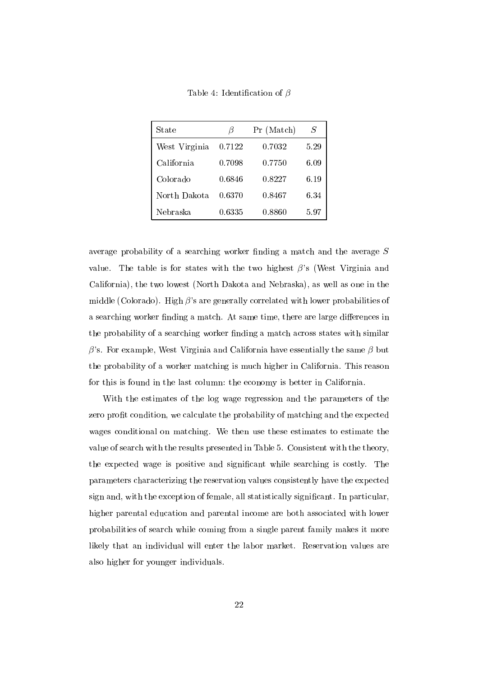Table 4: Identification of  $\beta$ 

| State         | B      | Pr (Match) | S    |
|---------------|--------|------------|------|
| West Virginia | 0.7122 | 0.7032     | 5.29 |
| California    | 0.7098 | 0.7750     | 6.09 |
| Colorado      | 0.6846 | 0.8227     | 6.19 |
| North Dakota  | 0.6370 | 0.8467     | 6.34 |
| Nebraska      | 0.6335 | 0.8860     | 5.97 |

average probability of a searching worker finding a match and the average  $S$ value. The table is for states with the two highest  $\beta$ 's (West Virginia and California), the two lowest (North Dakota and Nebraska), as well as one in the middle (Colorado). High  $\beta$ 's are generally correlated with lower probabilities of a searching worker finding a match. At same time, there are large differences in the probability of a searching worker finding a match across states with similar  $\beta$ 's. For example, West Virginia and California have essentially the same  $\beta$  but the probability of a worker matching is much higher in California. This reason for this is found in the last column: the economy is better in California.

With the estimates of the log wage regression and the parameters of the zero profit condition, we calculate the probability of matching and the expected wages conditional on matching. We then use these estimates to estimate the value of search with the results presented in Table 5. Consistent with the theory, the expected wage is positive and signicant while searching is costly. The parameters characterizing the reservation values consistently have the expected sign and, with the exception of female, all statistically signicant. In particular, higher parental education and parental income are both associated with lower probabilities of search while coming from a single parent family makes it more likely that an individual will enter the labor market. Reservation values are also higher for younger individuals.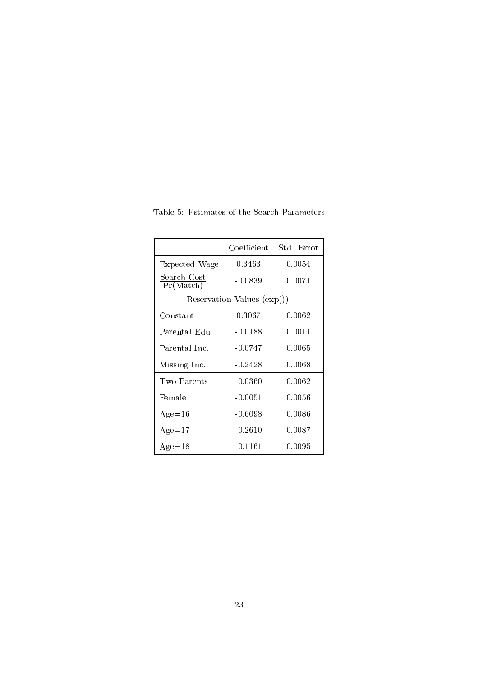|                                 |           | Coefficient Std. Error |  |
|---------------------------------|-----------|------------------------|--|
| Expected Wage                   | 0.3463    | 0.0054                 |  |
| <u>Search Cost</u><br>Pr(Match) | $-0.0839$ | 0.0071                 |  |
| Reservation Values $(exp())$ :  |           |                        |  |
| Constant                        | 0.3067    | 0.0062                 |  |
| Parental Edu.                   | $-0.0188$ | 0.0011                 |  |
| Parental Inc.                   | $-0.0747$ | 0.0065                 |  |
| Missing Inc.                    | $-0.2428$ | 0.0068                 |  |
| Two Parents                     | $-0.0360$ | 0.0062                 |  |
| Female                          | $-0.0051$ | 0.0056                 |  |
| $Age=16$                        | $-0.6098$ | 0.0086                 |  |
| $Age=17$                        | $-0.2610$ | 0.0087                 |  |
| $Age=18$                        | $-0.1161$ | 0.0095                 |  |

Table 5: Estimates of the Search Parameters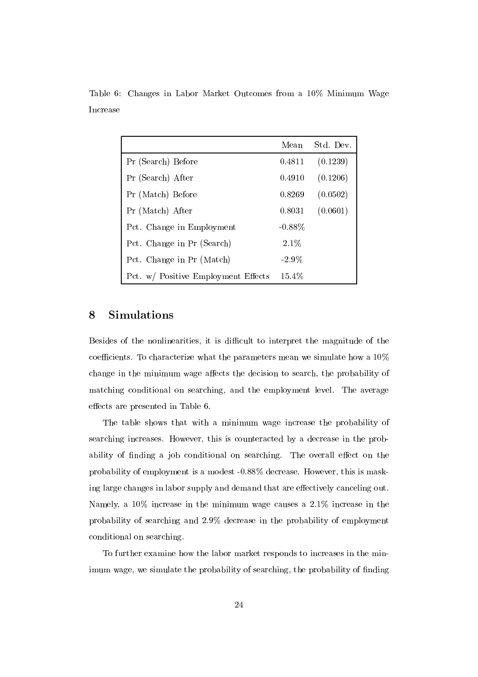|                                     | Mean      | Std. Dev. |
|-------------------------------------|-----------|-----------|
| Pr (Search) Before                  | 0.4811    | (0.1239)  |
| Pr (Search) After                   | 0.4910    | (0.1206)  |
| Pr (Match) Before                   | 0.8269    | (0.0502)  |
| Pr (Match) After                    | 0.8031    | (0.0601)  |
| Pct. Change in Employment           | $-0.88\%$ |           |
| Pct. Change in Pr (Search)          | 2.1%      |           |
| Pct. Change in Pr (Match)           | $-2.9\%$  |           |
| Pct. w/ Positive Employment Effects | 15.4%     |           |

Table 6: Changes in Labor Market Outcomes from a 10% Minimum Wage Increase

# 8 Simulations

Besides of the nonlinearities, it is difficult to interpret the magnitude of the coefficients. To characterize what the parameters mean we simulate how a  $10\%$ change in the minimum wage affects the decision to search, the probability of matching conditional on searching, and the employment level. The average effects are presented in Table 6.

The table shows that with a minimum wage increase the probability of searching increases. However, this is counteracted by a decrease in the probability of finding a job conditional on searching. The overall effect on the probability of employment is a modest -0.88% decrease. However, this is masking large changes in labor supply and demand that are effectively canceling out. Namely, a 10% increase in the minimum wage causes a 2.1% increase in the probability of searching and 2.9% decrease in the probability of employment conditional on searching.

To further examine how the labor market responds to increases in the minimum wage, we simulate the probability of searching, the probability of finding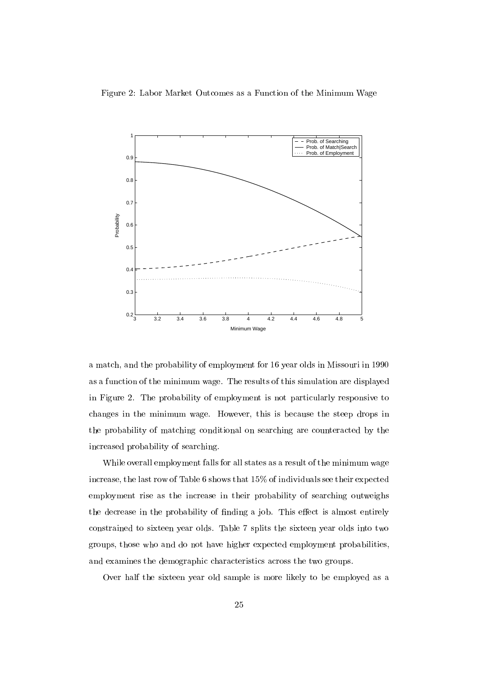Figure 2: Labor Market Outcomes as a Function of the Minimum Wage



a match, and the probability of employment for 16 year olds in Missouri in 1990 as a function of the minimum wage. The results of this simulation are displayed in Figure 2.The probability of employment is not particularly responsive to changes in the minimum wage. However, this is because the steep drops in the probability of matching conditional on searching are counteracted by the increased probability of searching.

While overall employment falls for all states as a result of the minimum wage increase, the last row of Table 6 shows that 15% of individuals see their expected employment rise as the increase in their probability of searching outweighs the decrease in the probability of finding a job. This effect is almost entirely constrained to sixteen year olds. Table 7 splits the sixteen year olds into two groups, those who and do not have higher expected employment probabilities, and examines the demographic characteristics across the two groups.

Over half the sixteen year old sample is more likely to be employed as a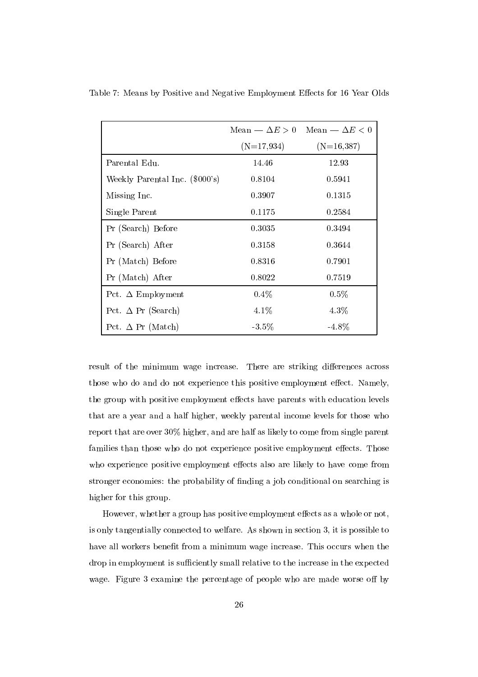|                                |              | Mean $-\Delta E > 0$ Mean $-\Delta E < 0$ |
|--------------------------------|--------------|-------------------------------------------|
|                                | $(N=17,934)$ | $(N=16,387)$                              |
| Parental Edu.                  | 14.46        | 12.93                                     |
| Weekly Parental Inc. (\$000's) | 0.8104       | 0.5941                                    |
| Missing Inc.                   | 0.3907       | 0.1315                                    |
| Single Parent                  | 0.1175       | 0.2584                                    |
| Pr (Search) Before             | 0.3035       | 0.3494                                    |
| Pr (Search) After              | 0.3158       | 0.3644                                    |
| Pr (Match) Before              | 0.8316       | 0.7901                                    |
| Pr (Match) After               | 0.8022       | 0.7519                                    |
| Pct. $\Delta$ Employment       | $0.4\%$      | $0.5\%$                                   |
| Pct. $\Delta$ Pr (Search)      | $4.1\%$      | $4.3\%$                                   |
| Pct. $\Delta$ Pr (Match)       | $-3.5\%$     | $-4.8\%$                                  |

Table 7: Means by Positive and Negative Employment Effects for 16 Year Olds

result of the minimum wage increase. There are striking differences across those who do and do not experience this positive employment effect. Namely, the group with positive employment effects have parents with education levels that are a year and a half higher, weekly parental income levels for those who report that are over 30% higher, and are half as likely to come from single parent families than those who do not experience positive employment effects. Those who experience positive employment effects also are likely to have come from stronger economies: the probability of finding a job conditional on searching is higher for this group.

However, whether a group has positive employment effects as a whole or not, is only tangentially connected to welfare. As shown in section 3, it is possible to have all workers benefit from a minimum wage increase. This occurs when the drop in employment is sufficiently small relative to the increase in the expected wage. Figure 3 examine the percentage of people who are made worse off by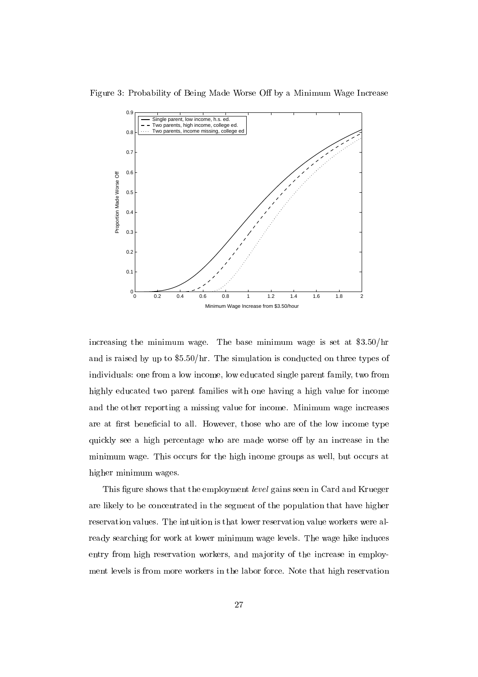

Figure 3: Probability of Being Made Worse Off by a Minimum Wage Increase

increasing the minimum wage. The base minimum wage is set at \$3.50/hr and is raised by up to \$5.50/hr. The simulation is conducted on three types of individuals: one from a low income, low educated single parent family, two from highly educated two parent families with one having a high value for income and the other reporting a missing value for income. Minimum wage increases are at first beneficial to all. However, those who are of the low income type quickly see a high percentage who are made worse off by an increase in the minimum wage. This occurs for the high income groups as well, but occurs at higher minimum wages.

This figure shows that the employment level gains seen in Card and Krueger are likely to be concentrated in the segment of the population that have higher reservation values. The intuition is that lower reservation value workers were already searching for work at lower minimum wage levels. The wage hike induces entry from high reservation workers, and majority of the increase in employment levels is from more workers in the labor force. Note that high reservation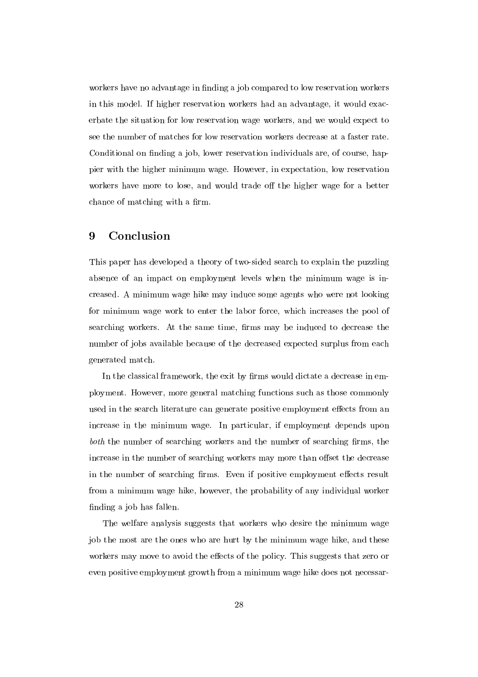workers have no advantage in finding a job compared to low reservation workers in this model. If higher reservation workers had an advantage, it would exacerbate the situation for low reservation wage workers, and we would expect to see the number of matches for low reservation workers decrease at a faster rate. Conditional on finding a job, lower reservation individuals are, of course, happier with the higher minimum wage. However, in expectation, low reservation workers have more to lose, and would trade off the higher wage for a better chance of matching with a firm.

# 9 Conclusion

This paper has developed a theory of two-sided search to explain the puzzling absence of an impact on employment levels when the minimum wage is increased. A minimum wage hike may induce some agents who were not looking for minimum wage work to enter the labor force, which increases the pool of searching workers. At the same time, firms may be induced to decrease the number of jobs available because of the decreased expected surplus from each generated match.

In the classical framework, the exit by firms would dictate a decrease in employment. However, more general matching functions such as those commonly used in the search literature can generate positive employment effects from an increase in the minimum wage. In particular, if employment depends upon both the number of searching workers and the number of searching firms, the increase in the number of searching workers may more than offset the decrease in the number of searching firms. Even if positive employment effects result from a minimum wage hike, however, the probability of any individual worker finding a job has fallen.

The welfare analysis suggests that workers who desire the minimum wage job the most are the ones who are hurt by the minimum wage hike, and these workers may move to avoid the effects of the policy. This suggests that zero or even positive employment growth from a minimum wage hike does not necessar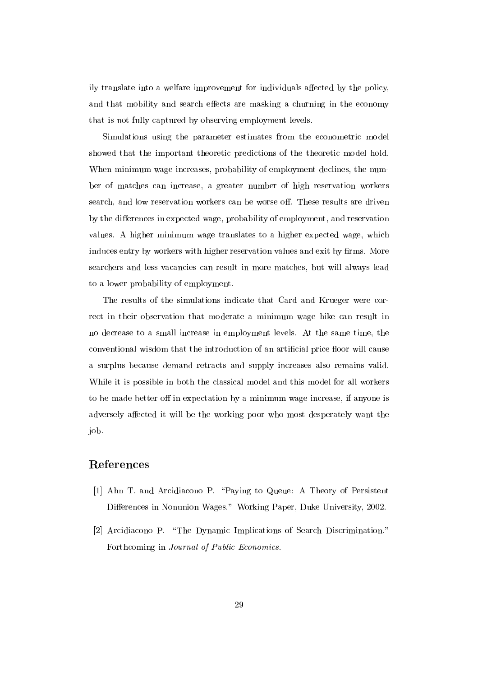ily translate into a welfare improvement for individuals affected by the policy, and that mobility and search effects are masking a churning in the economy that is not fully captured by observing employment levels.

Simulations using the parameter estimates from the econometric model showed that the important theoretic predictions of the theoretic model hold. When minimum wage increases, probability of employment declines, the number of matches can increase, a greater number of high reservation workers search, and low reservation workers can be worse off. These results are driven by the differences in expected wage, probability of employment, and reservation values. A higher minimum wage translates to a higher expected wage, which induces entry by workers with higher reservation values and exit by firms. More searchers and less vacancies can result in more matches, but will always lead to a lower probability of employment.

The results of the simulations indicate that Card and Krueger were correct in their observation that moderate a minimum wage hike can result in no decrease to a small increase in employment levels. At the same time, the conventional wisdom that the introduction of an artificial price floor will cause a surplus because demand retracts and supply increases also remains valid. While it is possible in both the classical model and this model for all workers to be made better off in expectation by a minimum wage increase, if anyone is adversely affected it will be the working poor who most desperately want the job.

# References

- [1] Ahn T. and Arcidiacono P. \Paying to Queue: A Theory of Persistent Differences in Nonunion Wages." Working Paper, Duke University, 2002.
- [2] Arcidiacono P. "The Dynamic Implications of Search Discrimination." Forthcoming in Journal of Public Economics.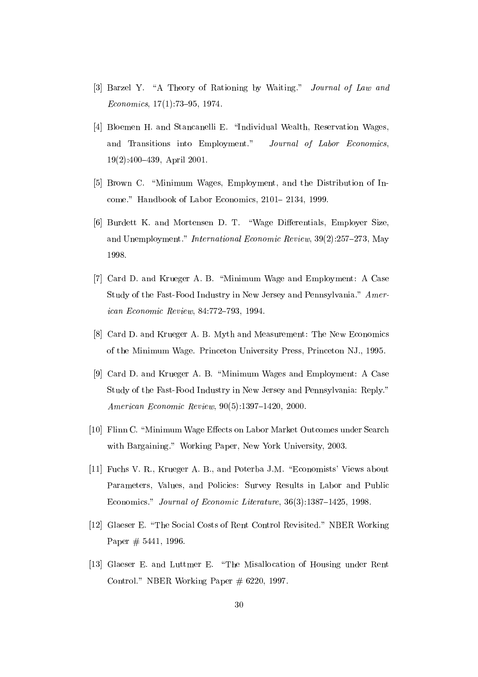- [3] Barzel Y. "A Theory of Rationing by Waiting." *Journal of Law and*  $Economics, 17(1):73-95, 1974.$
- [4] Bloemen H. and Stancanelli E. "Individual Wealth, Reservation Wages, and Transitions into Employment." Journal of Labor Economics,  $19(2):400-439$ , April 2001.
- [5] Brown C. "Minimum Wages, Employment, and the Distribution of Income." Handbook of Labor Economics, 2101-2134, 1999.
- [6] Burdett K. and Mortensen D. T. "Wage Differentials, Employer Size, and Unemployment." International Economic Review,  $39(2):257{-}273$ , May 1998.
- [7] Card D. and Krueger A. B. "Minimum Wage and Employment: A Case Study of the Fast-Food Industry in New Jersey and Pennsylvania." American Economic Review, 84:772-793, 1994.
- [8] Card D. and Krueger A. B. Myth and Measurement: The New Economics of the Minimum Wage. Princeton University Press, Princeton NJ., 1995.
- [9] Card D. and Krueger A. B. "Minimum Wages and Employment: A Case Study of the Fast-Food Industry in New Jersey and Pennsylvania: Reply." American Economic Review,  $90(5):1397-1420$ , 2000.
- [10] Flinn C. "Minimum Wage Effects on Labor Market Outcomes under Search with Bargaining." Working Paper, New York University, 2003.
- [11] Fuchs V. R., Krueger A. B., and Poterba J.M. "Economists' Views about Parameters, Values, and Policies: Survey Results in Labor and Public Economics." Journal of Economic Literature, 36(3):1387-1425, 1998.
- [12] Glaeser E. \The Social Costs of Rent Control Revisited." NBER Working Paper # 5441, 1996.
- [13] Glaeser E. and Luttmer E. "The Misallocation of Housing under Rent Control." NBER Working Paper  $\#$  6220, 1997.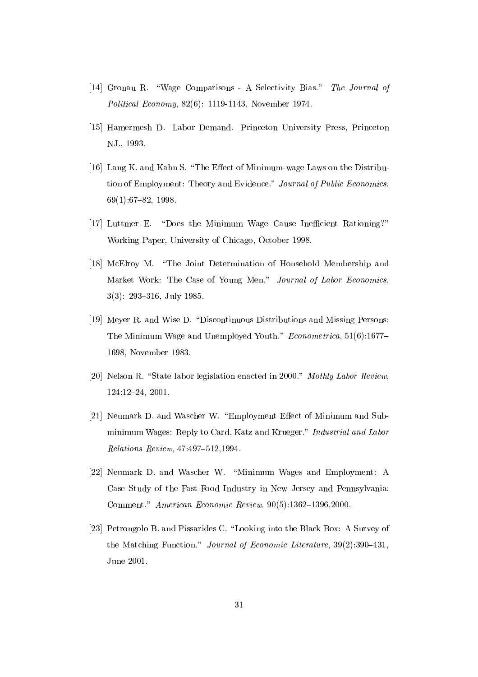- [14] Gronau R. "Wage Comparisons A Selectivity Bias." The Journal of Political Economy, 82(6): 1119-1143, November 1974.
- [15] Hamermesh D. Labor Demand. Princeton University Press, Princeton NJ., 1993.
- [16] Lang K. and Kahn S. "The Effect of Minimum-wage Laws on the Distribution of Employment: Theory and Evidence." Journal of Public Economics,  $69(1):67{-}82, 1998.$
- [17] Luttmer E. "Does the Minimum Wage Cause Inefficient Rationing?" Working Paper, University of Chicago, October 1998.
- [18] McElroy M. "The Joint Determination of Household Membership and Market Work: The Case of Young Men." Journal of Labor Economics,  $3(3)$ : 293-316, July 1985.
- [19] Meyer R. and Wise D. \Discontinuous Distributions and Missing Persons: The Minimum Wage and Unemployed Youth." *Econometrica*, 51(6):1677– 1698, November 1983.
- [20] Nelson R. "State labor legislation enacted in 2000." Mothly Labor Review, 124:12-24, 2001.
- [21] Neumark D. and Wascher W. "Employment Effect of Minimum and Subminimum Wages: Reply to Card, Katz and Krueger." Industrial and Labor  $Relationships$   $Review, 47:497-512,1994.$
- [22] Neumark D. and Wascher W. "Minimum Wages and Employment: A Case Study of the Fast-Food Industry in New Jersey and Pennsylvania: Comment." American Economic Review,  $90(5):1362-1396,2000$ .
- [23] Petrongolo B. and Pissarides C. "Looking into the Black Box: A Survey of the Matching Function." Journal of Economic Literature,  $39(2):390-431$ , June 2001.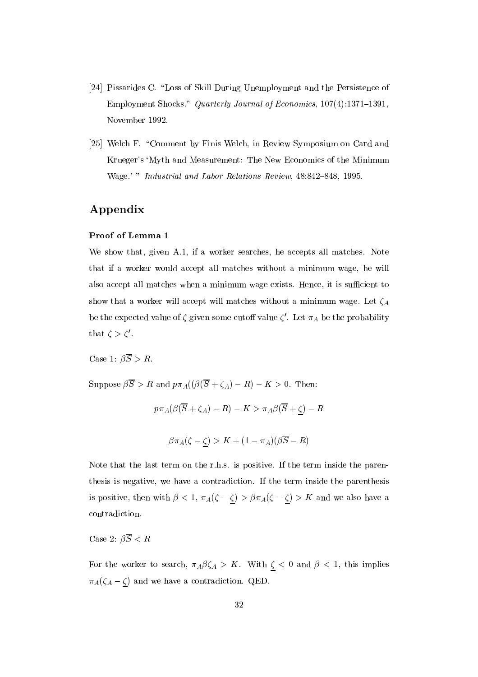- [24] Pissarides C. "Loss of Skill During Unemployment and the Persistence of Employment Shocks." Quarterly Journal of Economics,  $107(4):1371-1391$ , November 1992.
- [25] Welch F. "Comment by Finis Welch, in Review Symposium on Card and Krueger's `Myth and Measurement: The New Economics of the Minimum Wage.' " Industrial and Labor Relations Review, 48:842-848, 1995.

# Appendix

### Proof of Lemma 1

We show that, given A.1, if a worker searches, he accepts all matches. Note that if a worker would accept all matches without a minimum wage, he will also accept all matches when a minimum wage exists. Hence, it is sufficient to show that a worker will accept will matches without a minimum wage. Let  $\zeta_A$ be the expected value of  $\zeta$  given some cutoff value  $\zeta$ . Let  $\pi_A$  be the probability that  $\zeta > \zeta'$ .

Case 1:  $\beta \overline{S} > R$ .

Suppose  $\beta \overline{S} > R$  and  $p \pi_A((\beta(\overline{S} + \zeta_A) - R) - K > 0$ . Then:

$$
p\pi_A(\beta(\overline{S} + \zeta_A) - R) - K > \pi_A\beta(\overline{S} + \underline{\zeta}) - R
$$
\n
$$
\beta\pi_A(\zeta - \underline{\zeta}) > K + (1 - \pi_A)(\beta\overline{S} - R)
$$

Note that the last term on the r.h.s. is positive. If the term inside the parenthesis is negative, we have a contradiction. If the term inside the parenthesis is positive, then with  $\beta < 1$ ,  $\pi_A(\zeta - \zeta) > \beta \pi_A(\zeta - \zeta) > K$  and we also have a contradiction.

Case 2:  $\beta \overline{S} < R$ 

For the worker to search,  $\pi_A \beta \zeta_A > K$ . With  $\zeta < 0$  and  $\beta < 1$ , this implies  $\pi_A(\zeta_A - \zeta)$  and we have a contradiction. QED.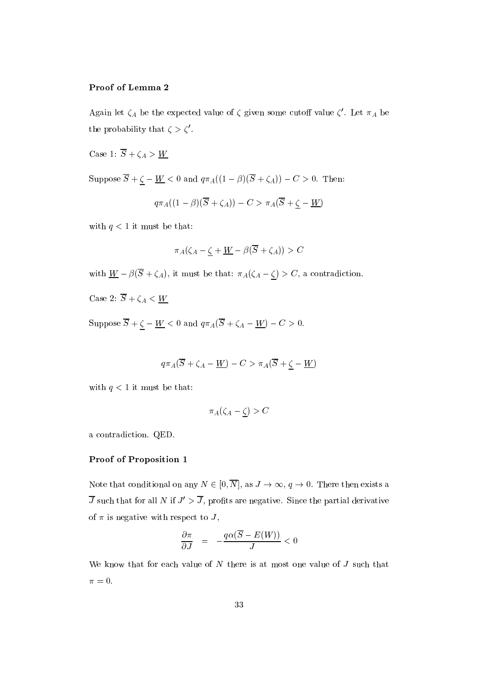## Proof of Lemma 2

Again let  $\zeta_A$  be the expected value of  $\zeta$  given some cuton value  $\zeta$  . Let  $\pi_A$  be the probability that  $\zeta > \zeta'$ .

Case 1:  $\overline{S} + \zeta_A > W$ 

 $S$  is posed since  $S$  ,  $\overline{S}$  and  $\overline{S}$  and  $\overline{S}$  and  $\overline{S}$  (i.e.  $\overline{S}$  ) is the set of  $S$  . Then is the set of  $S$  and  $\overline{S}$  and  $\overline{S}$  and  $\overline{S}$  and  $\overline{S}$  and  $\overline{S}$  and  $\overline{S}$  and  $\overline{S$ 

$$
q\pi_{A}((1-\beta)(\overline{S}+\zeta_{A}))-C>\pi_{A}(\overline{S}+\underline{\zeta}-\underline{W})
$$

with  $q < 1$  it must be that:

$$
\pi_A(\zeta_A-\underline{\zeta}+\underline{W}-\beta(\overline{S}+\zeta_A))>C
$$

with W  $\frac{1}{2}$  and  $\frac{1}{2}$  , and  $\frac{1}{2}$  and  $\frac{1}{2}$  and  $\frac{1}{2}$  and  $\frac{1}{2}$  are contradiction.

Case 2:  $\overline{S} + \zeta_A < W$ 

 $S$  is proved by  $S$  . The set of  $S$  and  $S$  and  $S$   $\{M, N, N\}$  is  $M$  .  $\{M, N\}$  is  $M$ 

$$
q\pi_{A}(\overline{S}+\zeta_{A}-\underline{W})-C>\pi_{A}(\overline{S}+\underline{\zeta}-\underline{W})
$$

with  $q < 1$  it must be that:

$$
\pi_A(\zeta_A-\zeta)>C
$$

a contradiction. QED.

#### Proof of Proposition 1

Note that conditional on any  $N \in [0, \overline{N}]$ , as  $J \to \infty$ ,  $q \to 0$ . There then exists a  $\overline{J}$  such that for all N if  $J' > \overline{J}$ , profits are negative. Since the partial derivative of  $\pi$  is negative with respect to J,

$$
\frac{\partial \pi}{\partial J} \;\; = \;\; -\frac{q \alpha (\overline{S} - E(W))}{J} < 0
$$

We know that for each value of  $N$  there is at most one value of  $J$  such that  $\pi = 0.$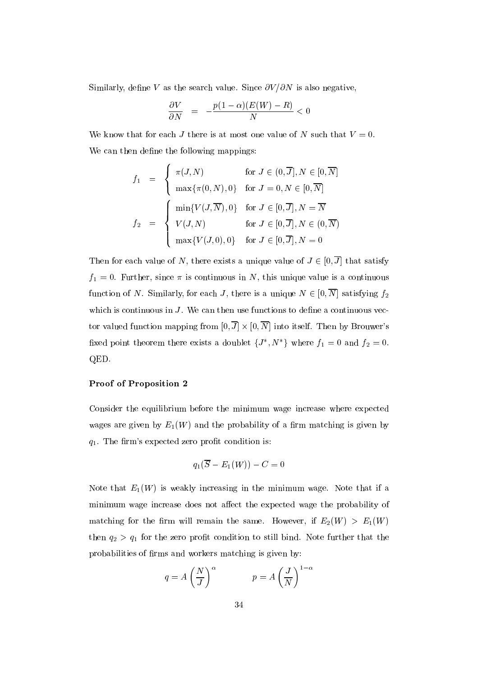Similarly, define V as the search value. Since  $\partial V/\partial N$  is also negative,

$$
\frac{\partial V}{\partial N} \;\; = \;\; -\frac{p(1-\alpha)(E(W)-R)}{N} < 0
$$

We know that for each J there is at most one value of N such that  $V = 0$ . We can then define the following mappings:

$$
f_1 = \begin{cases} \pi(J, N) & \text{for } J \in (0, \overline{J}], N \in [0, \overline{N}] \\ \max{\pi(0, N), 0} & \text{for } J = 0, N \in [0, \overline{N}] \end{cases}
$$

$$
f_2 = \begin{cases} \min{V(J, \overline{N}), 0} & \text{for } J \in [0, \overline{J}], N = \overline{N} \\ V(J, N) & \text{for } J \in [0, \overline{J}], N \in (0, \overline{N}) \\ \max{V(J, 0), 0} & \text{for } J \in [0, \overline{J}], N = 0 \end{cases}
$$

Then for each value of N, there exists a unique value of  $J \in [0, \overline{J}]$  that satisfy  $f_1 = 0$ . Further, since  $\pi$  is continuous in N, this unique value is a continuous function of N. Similarly, for each J, there is a unique  $N \in [0, \overline{N}]$  satisfying  $f_2$ which is continuous in  $J$ . We can then use functions to define a continuous vector valued function mapping from  $[0, J] \times [0, N]$  into itself. Then by Brouwer's hxed point theorem there exists a doublet  $\{J_-, N_-\}$  where  $f_1 = 0$  and  $f_2 = 0$ . QED.

#### Proof of Proposition 2

Consider the equilibrium before the minimum wage increase where expected wages are given by  $E_1(W)$  and the probability of a firm matching is given by  $q_1$ . The firm's expected zero profit condition is:

$$
q_1(\overline{S}-E_1(W))-C=0
$$

Note that  $E_1(W)$  is weakly increasing in the minimum wage. Note that if a minimum wage increase does not affect the expected wage the probability of matching for the firm will remain the same. However, if  $E_2(W) > E_1(W)$ then  $q_2 > q_1$  for the zero profit condition to still bind. Note further that the probabilities of firms and workers matching is given by:

$$
q = A \left(\frac{N}{J}\right)^{\alpha} \qquad p = A \left(\frac{J}{N}\right)^{1-\alpha}
$$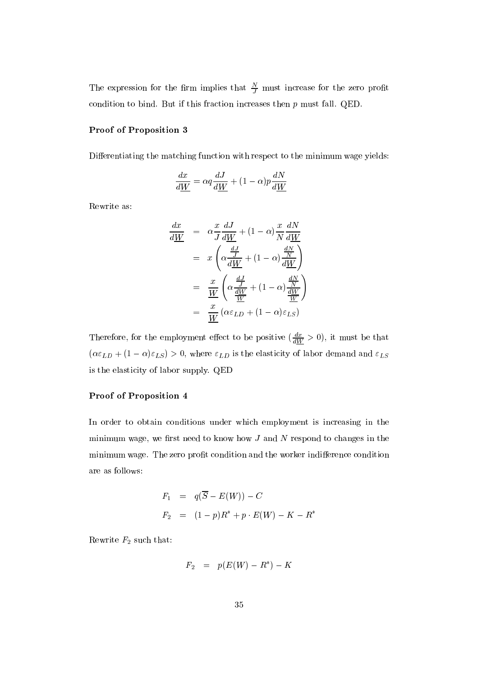The expression for the firm implies that  $\frac{1}{J}$  must increase for the zero profit condition to bind. But if this fraction increases then  $p$  must fall. QED.

### Proof of Proposition 3

Differentiating the matching function with respect to the minimum wage yields:

$$
\frac{dx}{d\underline{W}} = \alpha q \frac{dJ}{d\underline{W}} + (1 - \alpha)p \frac{dN}{d\underline{W}}
$$

Rewrite as:

$$
\frac{dx}{d\underline{W}} = \alpha \frac{x}{J} \frac{dJ}{d\underline{W}} + (1 - \alpha) \frac{x}{N} \frac{dN}{d\underline{W}}
$$
\n
$$
= x \left( \alpha \frac{\frac{dJ}{d\underline{W}}}{d\underline{W}} + (1 - \alpha) \frac{\frac{dN}{N}}{\frac{dW}{d\underline{W}}} \right)
$$
\n
$$
= \frac{x}{\underline{W}} \left( \alpha \frac{\frac{dJ}{d\underline{W}}}{\frac{d\underline{W}}{\underline{W}}} + (1 - \alpha) \frac{\frac{dN}{d\underline{W}}}{\frac{d\underline{W}}{\underline{W}}} \right)
$$
\n
$$
= \frac{x}{\underline{W}} \left( \alpha \varepsilon_{LD} + (1 - \alpha) \varepsilon_{LS} \right)
$$

Therefore, for the employment effect to be positive  $\left(\frac{\partial W}{\partial W} > 0\right)$ , it must be that  $(\alpha \varepsilon_{LD} + (1 - \alpha)\varepsilon_{LS}) > 0$ , where  $\varepsilon_{LD}$  is the elasticity of labor demand and  $\varepsilon_{LS}$ is the elasticity of labor supply. QED

### Proof of Proposition 4

In order to obtain conditions under which employment is increasing in the minimum wage, we first need to know how  $J$  and  $N$  respond to changes in the minimum wage. The zero profit condition and the worker indifference condition are as follows:

$$
F_1 = q(\overline{S} - E(W)) - C
$$
  
\n
$$
F_2 = (1-p)R^* + p \cdot E(W) - K - R^*
$$

Rewrite  $F_2$  such that:

$$
F_2~=~p(E(W)-R^*)-K
$$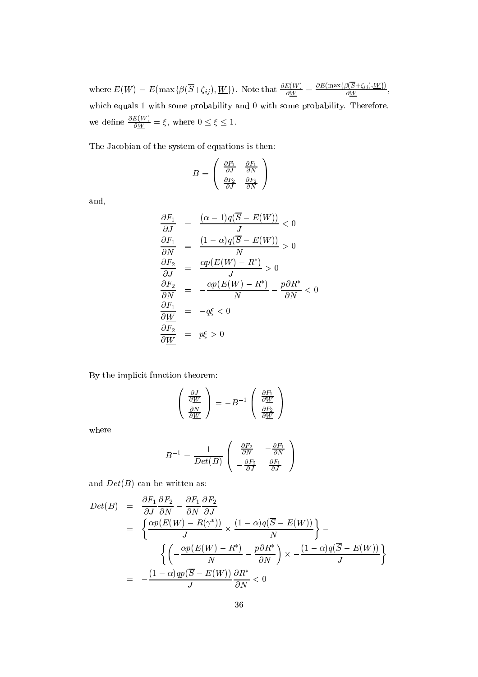where  $E(W) = E(\max\{\beta(S+\zeta_{ij}),\underline{W}\})$ . Note that  $\frac{\partial W}{\partial W} = \frac{\sum_{i=1}^N \sum_{j=1}^N \sum_{j=1}^N}{\beta(W)}$ , which equals 1 with some probability and 0 with some probability. Therefore, we have  $\mathcal{C}$ we define  $\frac{1}{\partial W} = \xi$ , where  $0 \leq \xi \leq 1$ .

The Jacobian of the system of equations is then:

$$
B = \begin{pmatrix} \frac{\partial F_1}{\partial J} & \frac{\partial F_1}{\partial N} \\ \frac{\partial F_2}{\partial J} & \frac{\partial F_2}{\partial N} \end{pmatrix}
$$

and,

$$
\begin{aligned}\n\frac{\partial F_1}{\partial J} &= \frac{(\alpha - 1)q(\overline{S} - E(W))}{J} < 0 \\
\frac{\partial F_1}{\partial N} &= \frac{(1 - \alpha)q(\overline{S} - E(W))}{N} > 0 \\
\frac{\partial F_2}{\partial J} &= \frac{\alpha p(E(W) - R^*)}{J} > 0 \\
\frac{\partial F_2}{\partial N} &= -\frac{\alpha p(E(W) - R^*)}{N} - \frac{p\partial R^*}{\partial N} < 0 \\
\frac{\partial F_1}{\partial W} &= -q\xi < 0 \\
\frac{\partial F_2}{\partial W} &= p\xi > 0\n\end{aligned}
$$

By the implicit function theorem:

$$
\left(\begin{array}{c}\frac{\partial J}{\partial \underline{W}} \\ \frac{\partial N}{\partial \underline{W}}\end{array}\right) = -B^{-1}\left(\begin{array}{c}\frac{\partial F_1}{\partial \underline{W}} \\ \frac{\partial F_2}{\partial \underline{W}}\end{array}\right)
$$

where

$$
B^{-1} = \frac{1}{Det(B)} \left( \begin{array}{cc} \frac{\partial F_2}{\partial N} & -\frac{\partial F_1}{\partial N} \\ -\frac{\partial F_2}{\partial J} & \frac{\partial F_1}{\partial J} \end{array} \right)
$$

and  $Det(B)$  can be written as:

$$
Det(B) = \frac{\partial F_1}{\partial J} \frac{\partial F_2}{\partial N} - \frac{\partial F_1}{\partial N} \frac{\partial F_2}{\partial J}
$$
  
= 
$$
\left\{ \frac{\alpha p(E(W) - R(\gamma^*))}{J} \times \frac{(1 - \alpha)q(\overline{S} - E(W))}{N} \right\} - \left\{ \left( -\frac{\alpha p(E(W) - R^*)}{N} - \frac{p\partial R^*}{\partial N} \right) \times -\frac{(1 - \alpha)q(\overline{S} - E(W))}{J} \right\}
$$
  
= 
$$
-\frac{(1 - \alpha)qp(\overline{S} - E(W))}{J} \frac{\partial R^*}{\partial N} < 0
$$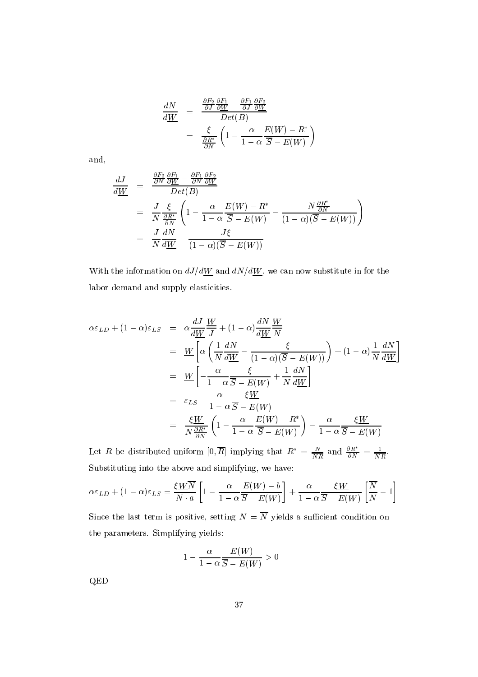$$
\frac{dN}{d\underline{W}} = \frac{\frac{\partial F_2}{\partial J} \frac{\partial F_1}{\partial \underline{W}} - \frac{\partial F_1}{\partial J} \frac{\partial F_2}{\partial \underline{W}}}{Det(B)} \n= \frac{\xi}{\frac{\partial R^*}{\partial N}} \left( 1 - \frac{\alpha}{1 - \alpha} \frac{E(W) - R^*}{\overline{S} - E(W)} \right)
$$

and,

$$
\frac{dJ}{d\underline{W}} = \frac{\frac{\partial F_2}{\partial N} \frac{\partial F_1}{\partial \underline{W}} - \frac{\partial F_1}{\partial N} \frac{\partial F_2}{\partial \underline{W}}}{Det(B)} \n= \frac{J}{N} \frac{\xi}{\frac{\partial R^*}{\partial N}} \left( 1 - \frac{\alpha}{1 - \alpha} \frac{E(W) - R^*}{\overline{S} - E(W)} - \frac{N \frac{\partial R^*}{\partial N}}{(1 - \alpha)(\overline{S} - E(W))} \right) \n= \frac{J}{N} \frac{dN}{d\underline{W}} - \frac{J\xi}{(1 - \alpha)(\overline{S} - E(W))}
$$

With the information on  $dJ/d\underline{W}$  and  $dN/d\underline{W}$ , we can now substitute in for the labor demand and supply elasticities.

$$
\alpha \varepsilon_{LD} + (1 - \alpha) \varepsilon_{LS} = \alpha \frac{dJ}{dW} \frac{W}{J} + (1 - \alpha) \frac{dN}{dW} \frac{W}{N}
$$
  
\n
$$
= \frac{W}{M} \left[ \alpha \left( \frac{1}{N} \frac{dN}{dW} - \frac{\xi}{(1 - \alpha)(\overline{S} - E(W))} \right) + (1 - \alpha) \frac{1}{N} \frac{dN}{dW} \right]
$$
  
\n
$$
= \frac{W}{M} \left[ -\frac{\alpha}{1 - \alpha} \frac{\xi}{\overline{S} - E(W)} + \frac{1}{N} \frac{dN}{dW} \right]
$$
  
\n
$$
= \varepsilon_{LS} - \frac{\alpha}{1 - \alpha} \frac{\xi W}{\overline{S} - E(W)}
$$
  
\n
$$
= \frac{\xi W}{N \frac{\partial R^*}{\partial N}} \left( 1 - \frac{\alpha}{1 - \alpha} \frac{E(W) - R^*}{\overline{S} - E(W)} \right) - \frac{\alpha}{1 - \alpha} \frac{\xi W}{\overline{S} - E(W)}
$$

Let R be distributed uniform  $[0, R]$  implying that  $R^* = \frac{N}{NR}$  and  $\frac{\partial R}{\partial N} = \frac{1}{NR}$ . Substituting into the above and simplifying, we have:

$$
\alpha \varepsilon_{LD} + (1 - \alpha) \varepsilon_{LS} = \frac{\xi \underline{W} \overline{N}}{N \cdot a} \left[ 1 - \frac{\alpha}{1 - \alpha} \frac{\underline{E}(W) - b}{\overline{S} - E(W)} \right] + \frac{\alpha}{1 - \alpha} \frac{\xi \underline{W}}{\overline{S} - E(W)} \left[ \frac{\overline{N}}{N} - 1 \right]
$$

Since the last term is positive, setting  $N = \overline{N}$  yields a sufficient condition on the parameters. Simplifying yields:

$$
1-\frac{\alpha}{1-\alpha}\frac{E(W)}{\overline{S}-E(W)}>0
$$

QED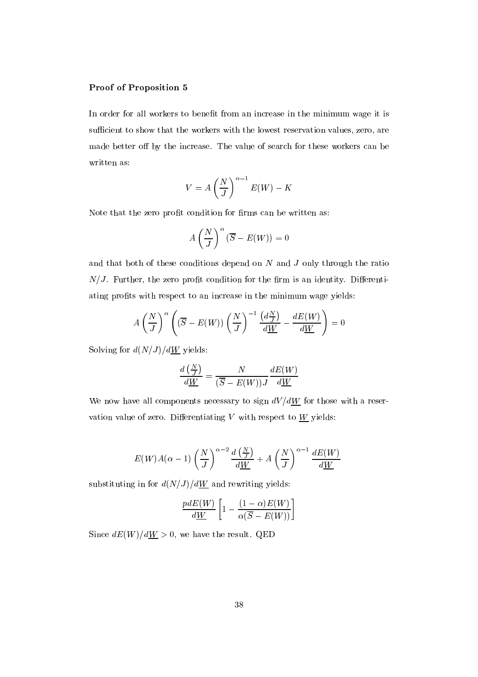#### Proof of Proposition 5

In order for all workers to benefit from an increase in the minimum wage it is sufficient to show that the workers with the lowest reservation values, zero, are made better off by the increase. The value of search for these workers can be written as:

$$
V = A \left(\frac{N}{J}\right)^{\alpha - 1} E(W) - K
$$

Note that the zero profit condition for firms can be written as:

$$
A\left(\frac{N}{J}\right)^{\alpha}(\overline{S}-E(W))=0
$$

and that both of these conditions depend on  $N$  and  $J$  only through the ratio  $N/J$ . Further, the zero profit condition for the firm is an identity. Differentiating profits with respect to an increase in the minimum wage yields:

$$
A\left(\frac{N}{J}\right)^{\alpha}\left((\overline{S}-E(W))\left(\frac{N}{J}\right)^{-1}\frac{\left(d\frac{N}{J}\right)}{d\underline{W}}-\frac{dE(W)}{d\underline{W}}\right)=0
$$

Solving for  $d(N/J)/dW$  yields:

$$
\frac{d\left(\frac{N}{J}\right)}{d\underline{W}}=\frac{N}{(\overline{S}-E(W))J}\frac{dE(W)}{d\underline{W}}
$$

We now have all components necessary to sign  $dV/dW$  for those with a reservation value of zero. Differentiating  $V$  with respect to  $W$  yields:

$$
E(W)A(\alpha - 1)\left(\frac{N}{J}\right)^{\alpha - 2}\frac{d\left(\frac{N}{J}\right)}{d\underline{W}} + A\left(\frac{N}{J}\right)^{\alpha - 1}\frac{dE(W)}{d\underline{W}}
$$

substituting in for  $d(N/J)/dW$  and rewriting yields:

$$
\frac{pdE(W)}{d\underline{W}}\left[1-\frac{(1-\alpha)E(W)}{\alpha(\overline{S}-E(W))}\right]
$$

Since  $dE(W)/dW > 0$ , we have the result. QED